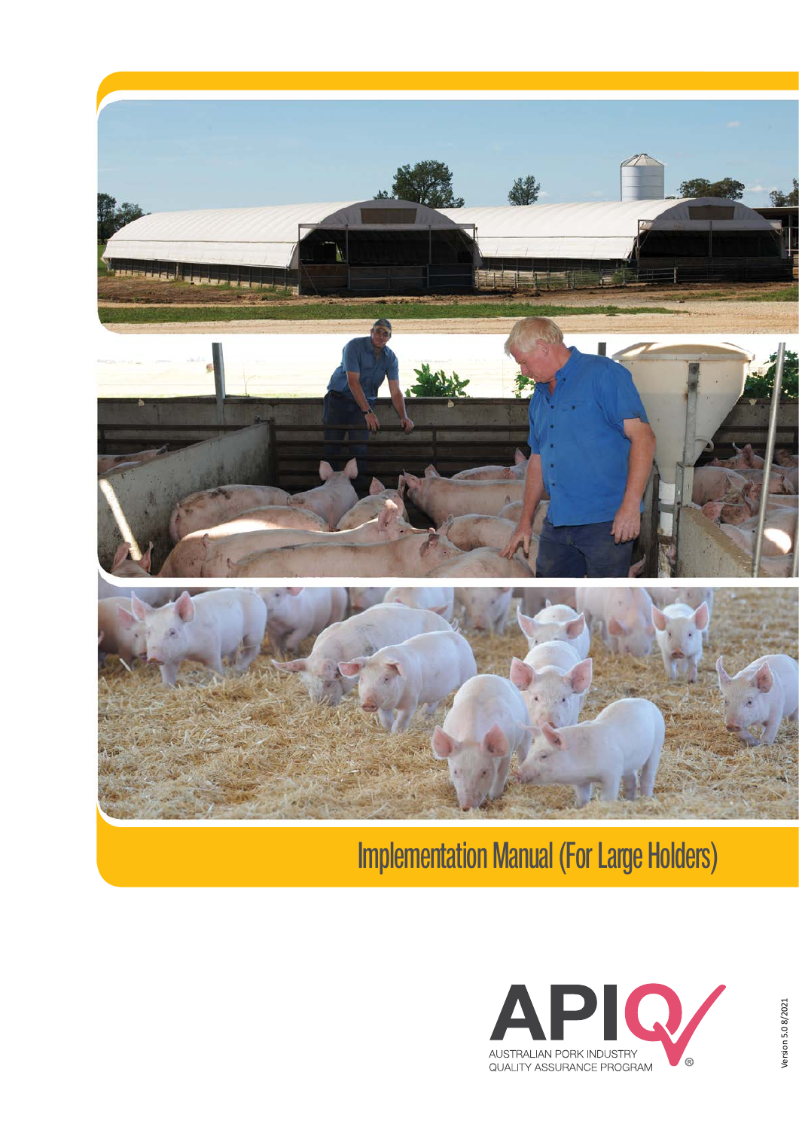

# Implementation Manual (For Large Holders)

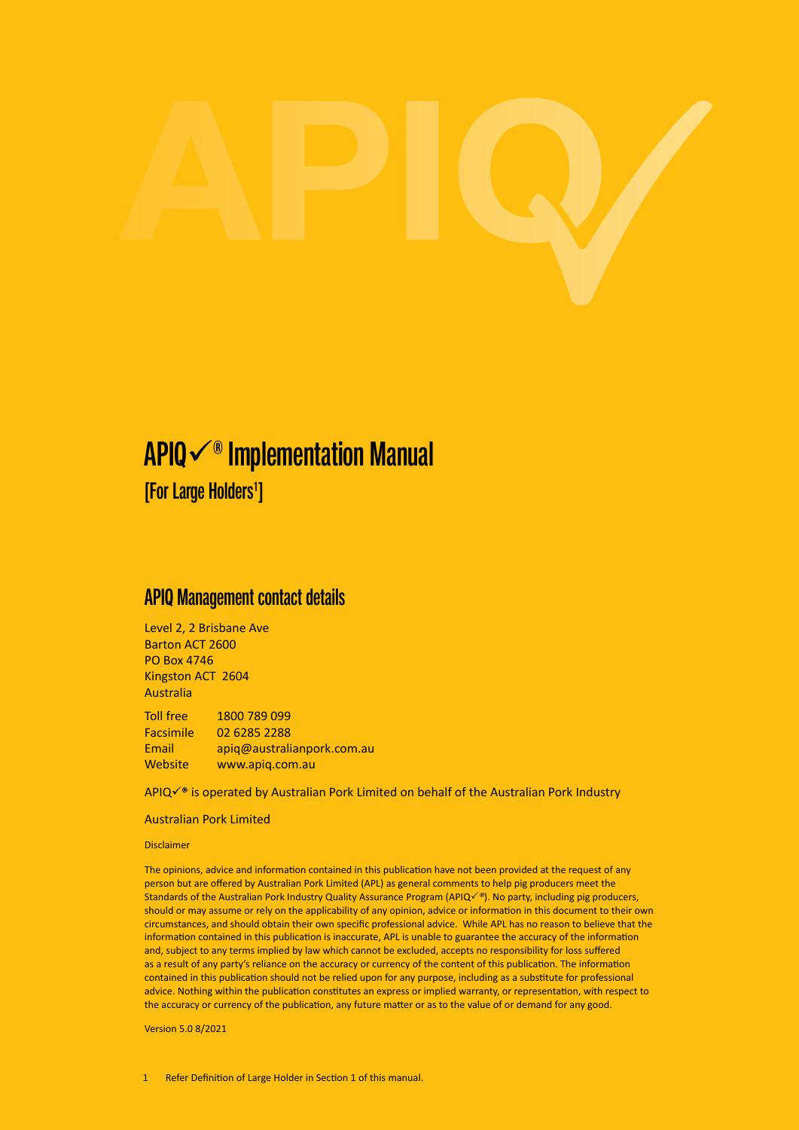# APIQ $\checkmark$ <sup>®</sup> Implementation Manual

[For Large Holders<sup>1</sup>]

# APIQ Management contact details

Level 2, 2 Brisbane Ave Barton ACT 2600 PO Box 4746 Kingston ACT 2604 Australia

Toll free 1800 789 099 Facsimile 02 6285 2288 Email apiq@australianpork.com.au Website www.apig.com.au

APIQ√<sup>®</sup> is operated by Australian Pork Limited on behalf of the Australian Pork Industry

#### Australian Pork Limited

Disclaimer

The opinions, advice and information contained in this publication have not been provided at the request of any person but are offered by Australian Pork Limited (APL) as general comments to help pig producers meet the Standards of the Australian Pork Industry Quality Assurance Program (APIQP*®*). No party, including pig producers, should or may assume or rely on the applicability of any opinion, advice or information in this document to their own circumstances, and should obtain their own specific professional advice. While APL has no reason to believe that the information contained in this publication is inaccurate, APL is unable to guarantee the accuracy of the information and, subject to any terms implied by law which cannot be excluded, accepts no responsibility for loss suffered as a result of any party's reliance on the accuracy or currency of the content of this publication. The information contained in this publication should not be relied upon for any purpose, including as a substitute for professional advice. Nothing within the publication constitutes an express or implied warranty, or representation, with respect to the accuracy or currency of the publication, any future matter or as to the value of or demand for any good.

Version 5.0 8/2021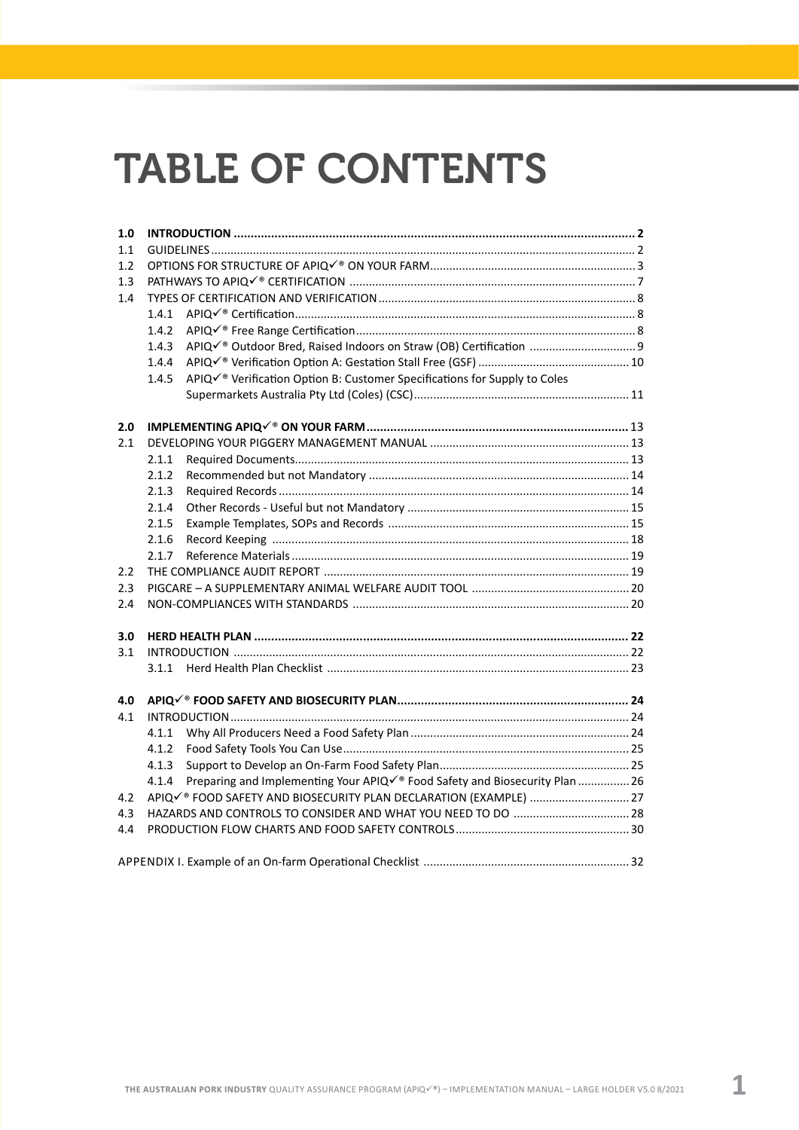# TABLE OF CONTENTS

| 1.0 |       |                                                                                       |  |  |  |
|-----|-------|---------------------------------------------------------------------------------------|--|--|--|
| 1.1 |       |                                                                                       |  |  |  |
| 1.2 |       |                                                                                       |  |  |  |
| 1.3 |       |                                                                                       |  |  |  |
| 1.4 |       |                                                                                       |  |  |  |
|     | 1.4.1 |                                                                                       |  |  |  |
|     | 1.4.2 |                                                                                       |  |  |  |
|     | 1.4.3 |                                                                                       |  |  |  |
|     | 1.4.4 |                                                                                       |  |  |  |
|     | 1.4.5 | APIQ√ <sup>®</sup> Verification Option B: Customer Specifications for Supply to Coles |  |  |  |
|     |       |                                                                                       |  |  |  |
| 2.0 |       |                                                                                       |  |  |  |
| 2.1 |       |                                                                                       |  |  |  |
|     | 2.1.1 |                                                                                       |  |  |  |
|     | 2.1.2 |                                                                                       |  |  |  |
|     | 2.1.3 |                                                                                       |  |  |  |
|     | 2.1.4 |                                                                                       |  |  |  |
|     | 2.1.5 |                                                                                       |  |  |  |
|     | 2.1.6 |                                                                                       |  |  |  |
|     | 2.1.7 |                                                                                       |  |  |  |
| 2.2 |       |                                                                                       |  |  |  |
| 2.3 |       |                                                                                       |  |  |  |
| 2.4 |       |                                                                                       |  |  |  |
| 3.0 |       |                                                                                       |  |  |  |
| 3.1 |       |                                                                                       |  |  |  |
|     | 3.1.1 |                                                                                       |  |  |  |
| 4.0 |       |                                                                                       |  |  |  |
| 4.1 |       |                                                                                       |  |  |  |
|     | 4.1.1 |                                                                                       |  |  |  |
|     | 4.1.2 |                                                                                       |  |  |  |
|     | 4.1.3 |                                                                                       |  |  |  |
|     | 4.1.4 | Preparing and Implementing Your APIQè Food Safety and Biosecurity Plan  26            |  |  |  |
| 4.2 |       | APIQè FOOD SAFETY AND BIOSECURITY PLAN DECLARATION (EXAMPLE)  27                      |  |  |  |
| 4.3 |       |                                                                                       |  |  |  |
| 4.4 |       |                                                                                       |  |  |  |
|     |       |                                                                                       |  |  |  |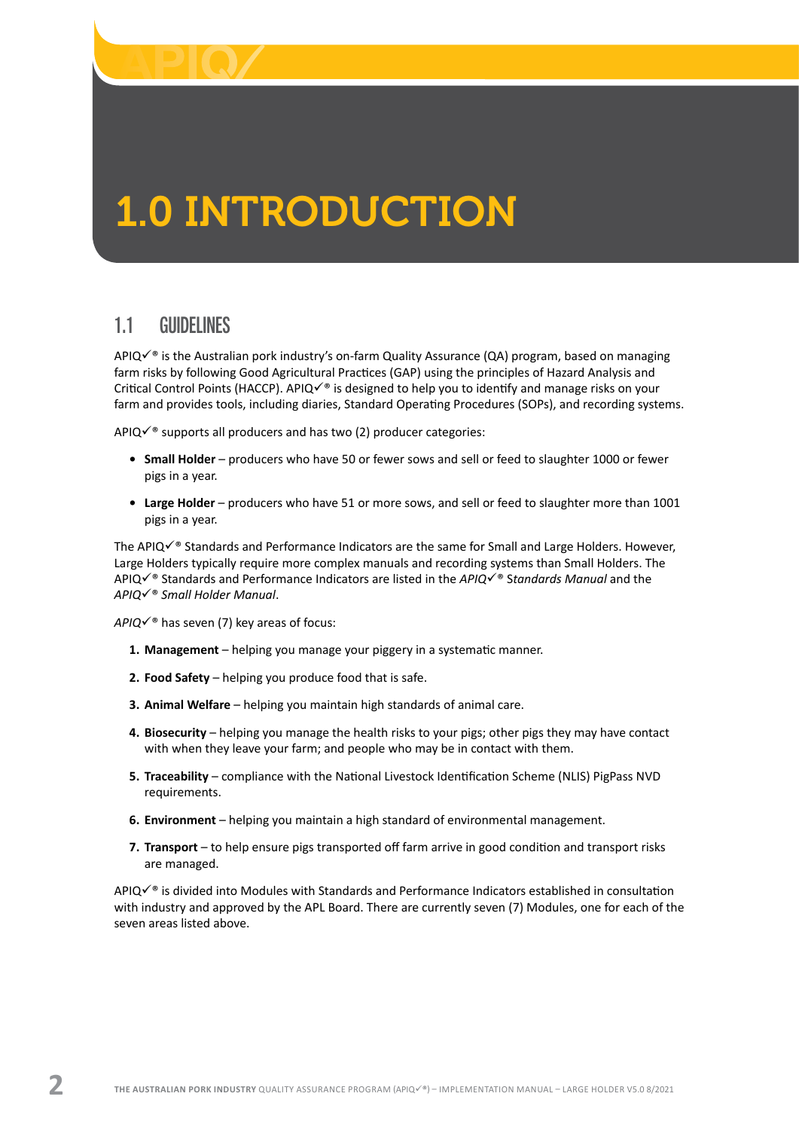<span id="page-3-0"></span>

# 1.0 INTRODUCTION

# 1.1 GUIDELINES

APIQ $\check{\bullet}$  is the Australian pork industry's on-farm Quality Assurance (QA) program, based on managing farm risks by following Good Agricultural Practices (GAP) using the principles of Hazard Analysis and Critical Control Points (HACCP). APIQ $\checkmark$ <sup>®</sup> is designed to help you to identify and manage risks on your farm and provides tools, including diaries, Standard Operating Procedures (SOPs), and recording systems.

APIQ $\checkmark$ <sup>®</sup> supports all producers and has two (2) producer categories:

- **• Small Holder** producers who have 50 or fewer sows and sell or feed to slaughter 1000 or fewer pigs in a year.
- **• Large Holder** producers who have 51 or more sows, and sell or feed to slaughter more than 1001 pigs in a year.

The APIQ $\checkmark$ <sup>®</sup> Standards and Performance Indicators are the same for Small and Large Holders. However, Large Holders typically require more complex manuals and recording systems than Small Holders. The APIQ√<sup>®</sup> Standards and Performance Indicators are listed in the *APIQ*√<sup>®</sup> Standards Manual and the *APIQ*ü® *Small Holder Manual*.

 $APIQV^*$  has seven (7) key areas of focus:

- **1. Management** helping you manage your piggery in a systematic manner.
- **2. Food Safety** helping you produce food that is safe.
- **3. Animal Welfare** helping you maintain high standards of animal care.
- **4. Biosecurity** helping you manage the health risks to your pigs; other pigs they may have contact with when they leave your farm; and people who may be in contact with them.
- **5. Traceability** compliance with the National Livestock Identification Scheme (NLIS) PigPass NVD requirements.
- **6. Environment** helping you maintain a high standard of environmental management.
- **7. Transport** to help ensure pigs transported off farm arrive in good condition and transport risks are managed.

APIQ $\check{\bullet}$  is divided into Modules with Standards and Performance Indicators established in consultation with industry and approved by the APL Board. There are currently seven (7) Modules, one for each of the seven areas listed above.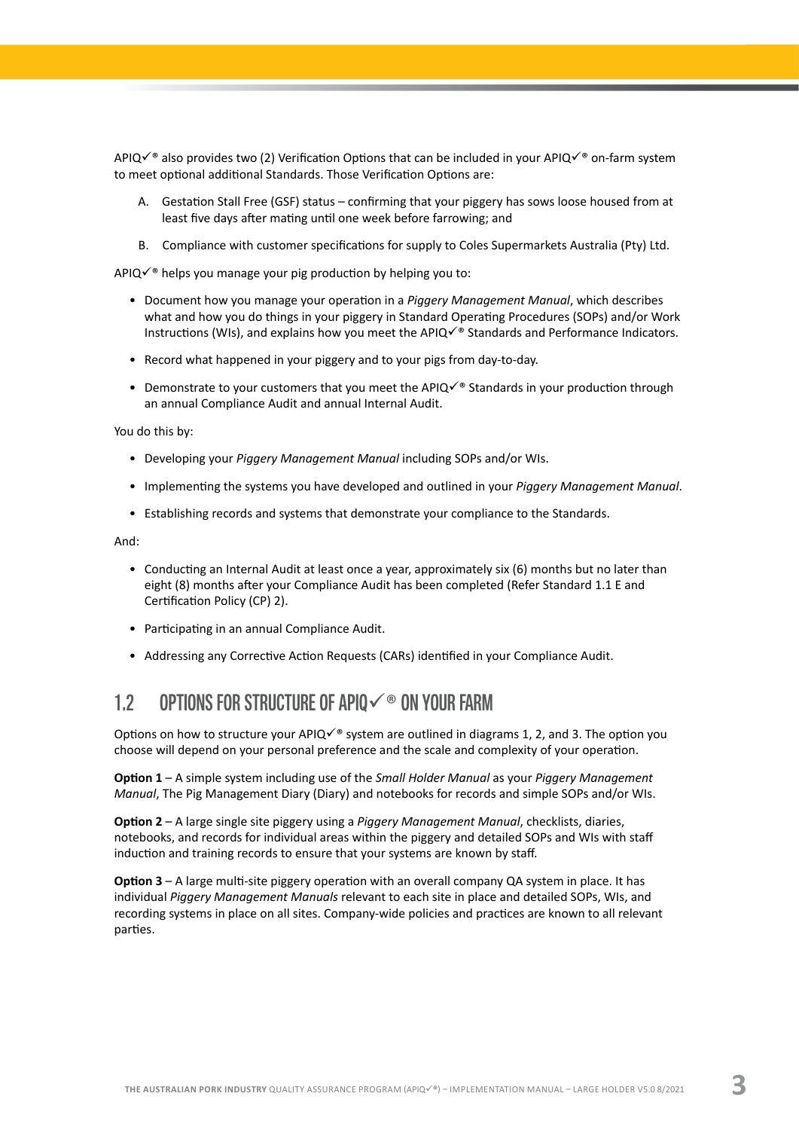<span id="page-4-0"></span>APIQ $\check{\bullet}$  also provides two (2) Verification Options that can be included in your APIQ $\check{\bullet}$  on-farm system to meet optional additional Standards. Those Verification Options are:

- A. Gestation Stall Free (GSF) status confirming that your piggery has sows loose housed from at least five days after mating until one week before farrowing; and
- B. Compliance with customer specifications for supply to Coles Supermarkets Australia (Pty) Ltd.

APIQ $\checkmark$ <sup>®</sup> helps you manage your pig production by helping you to:

- Document how you manage your operation in a *Piggery Management Manual*, which describes what and how you do things in your piggery in Standard Operating Procedures (SOPs) and/or Work Instructions (WIs), and explains how you meet the APIQè Standards and Performance Indicators.
- Record what happened in your piggery and to your pigs from day-to-day.
- Demonstrate to your customers that you meet the APIQ $\checkmark$ <sup>®</sup> Standards in your production through an annual Compliance Audit and annual Internal Audit.

You do this by:

- Developing your *Piggery Management Manual* including SOPs and/or WIs.
- Implementing the systems you have developed and outlined in your *Piggery Management Manual*.
- Establishing records and systems that demonstrate your compliance to the Standards.

And:

- Conducting an Internal Audit at least once a year, approximately six (6) months but no later than eight (8) months after your Compliance Audit has been completed (Refer Standard 1.1 E and Certification Policy (CP) 2).
- Participating in an annual Compliance Audit.
- Addressing any Corrective Action Requests (CARs) identified in your Compliance Audit.

## 1.2 OPTIONS FOR STRUCTURE OF APIO $\checkmark$ <sup>®</sup> ON YOUR FARM

Options on how to structure your APIQ $\checkmark$ <sup>®</sup> system are outlined in diagrams 1, 2, and 3. The option you choose will depend on your personal preference and the scale and complexity of your operation.

**Option 1** – A simple system including use of the *Small Holder Manual* as your *Piggery Management Manual*, The Pig Management Diary (Diary) and notebooks for records and simple SOPs and/or WIs.

**Option 2** – A large single site piggery using a *Piggery Management Manual*, checklists, diaries, notebooks, and records for individual areas within the piggery and detailed SOPs and WIs with staff induction and training records to ensure that your systems are known by staff.

**Option 3** – A large multi-site piggery operation with an overall company QA system in place. It has individual *Piggery Management Manuals* relevant to each site in place and detailed SOPs, WIs, and recording systems in place on all sites. Company-wide policies and practices are known to all relevant parties.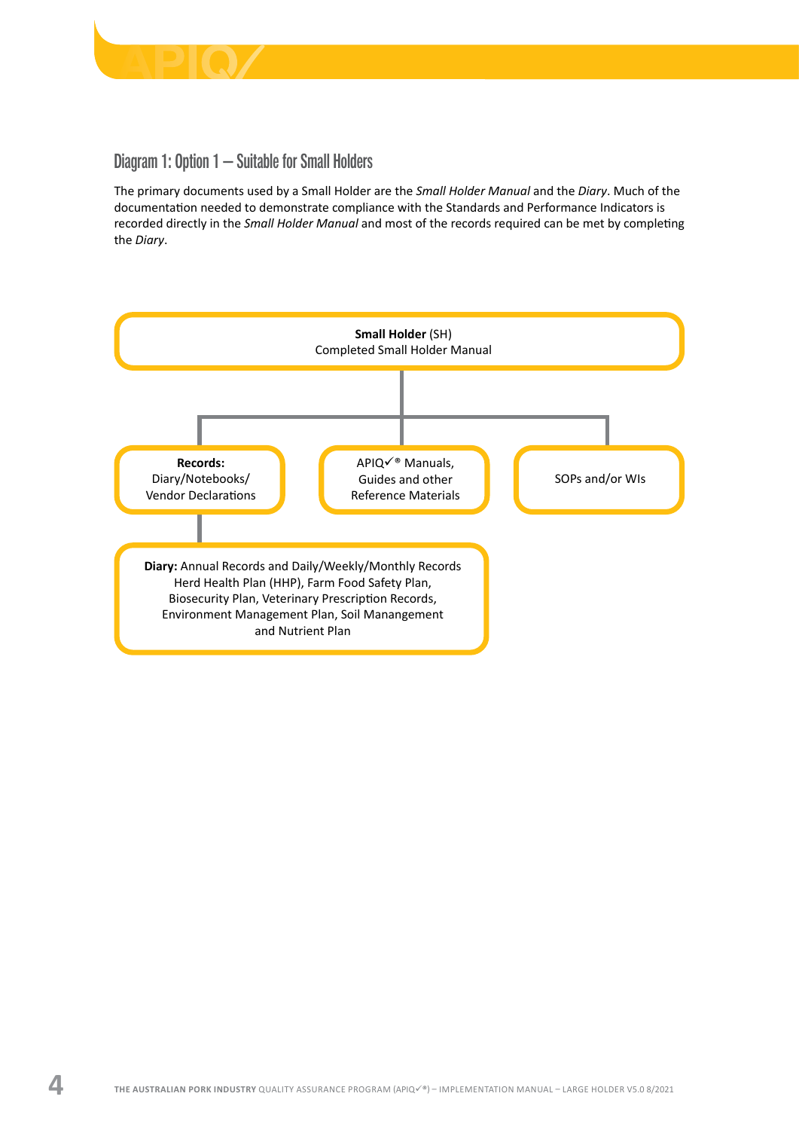

## Diagram 1: Option 1 – Suitable for Small Holders

The primary documents used by a Small Holder are the *Small Holder Manual* and the *Diary*. Much of the documentation needed to demonstrate compliance with the Standards and Performance Indicators is recorded directly in the *Small Holder Manual* and most of the records required can be met by completing the *Diary*.

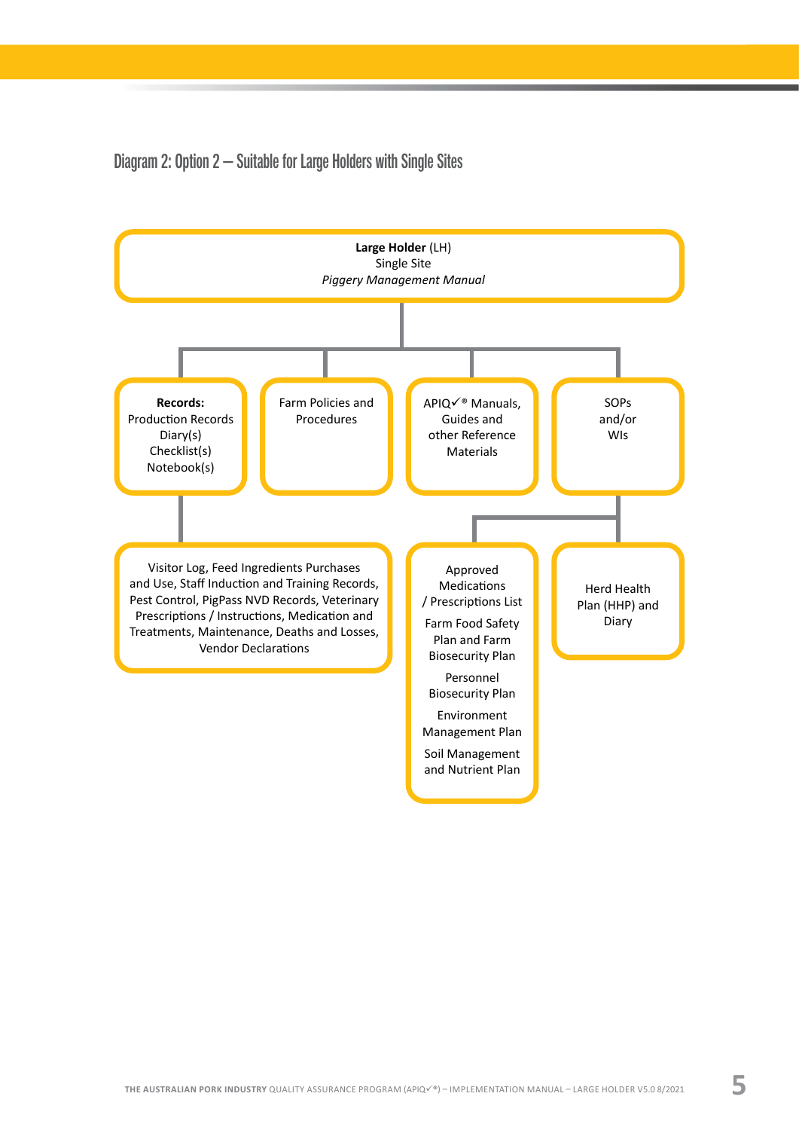Diagram 2: Option 2 – Suitable for Large Holders with Single Sites

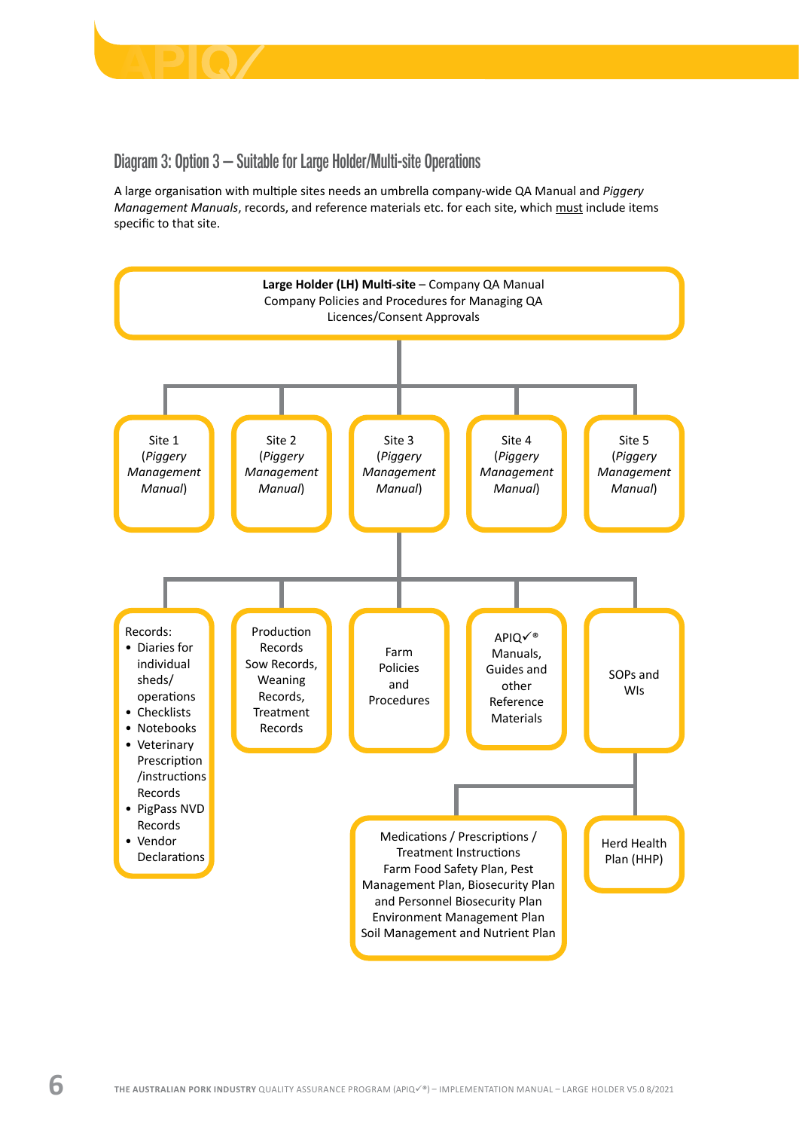

#### Diagram 3: Option 3 – Suitable for Large Holder/Multi-site Operations

A large organisation with multiple sites needs an umbrella company-wide QA Manual and *Piggery Management Manuals*, records, and reference materials etc. for each site, which must include items specific to that site.

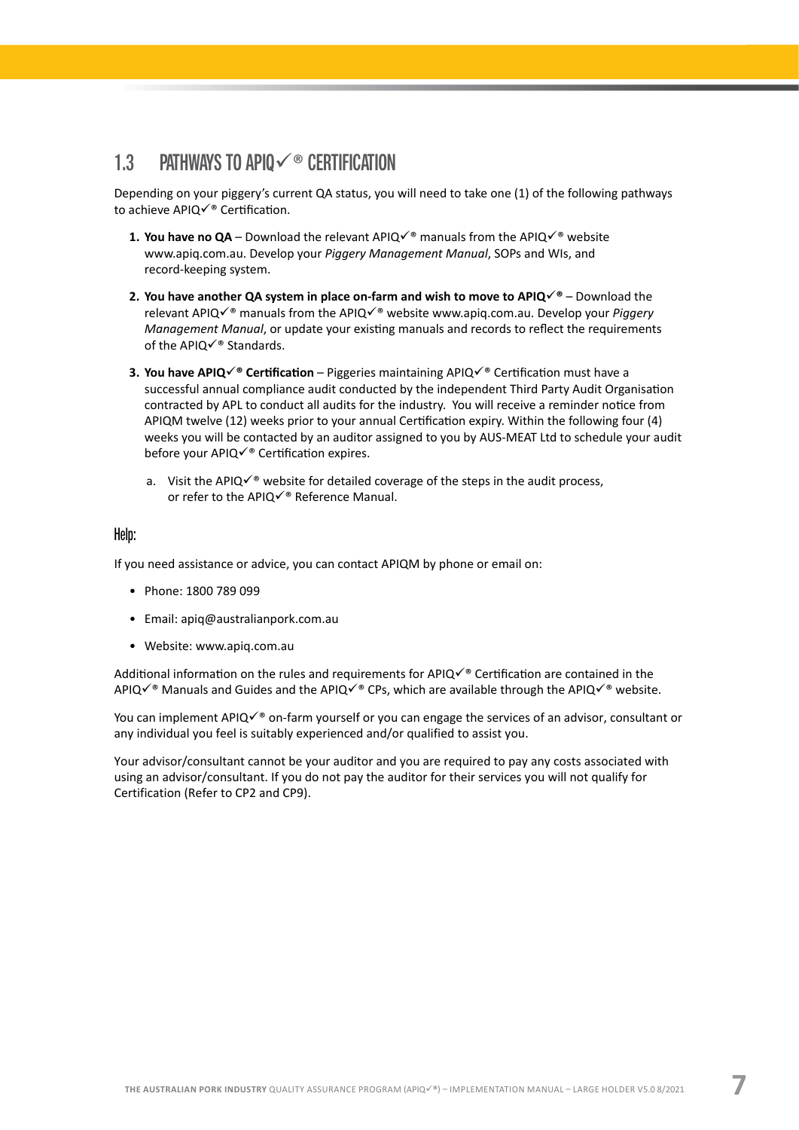# <span id="page-8-0"></span>1.3 PATHWAYS TO APIO $\checkmark$ <sup>®</sup> CERTIFICATION

Depending on your piggery's current QA status, you will need to take one (1) of the following pathways to achieve APIQ $\checkmark$ <sup>®</sup> Certification.

- **1. You have no QA** Download the relevant APIQ $\checkmark$ <sup>®</sup> manuals from the APIQ $\checkmark$ <sup>®</sup> website [www.apiq.com.au](http://www.apiq.com.au). Develop your *Piggery Management Manual*, SOPs and WIs, and record-keeping system.
- **2. You have another QA system in place on-farm and wish to move to APIQ**ü**®** Download the relevant APIQ $\checkmark$ <sup>®</sup> manuals from the APIQ $\checkmark$ <sup>®</sup> website www.apig.com.au. Develop your *Piggery Management Manual*, or update your existing manuals and records to reflect the requirements of the APIQ $\checkmark$ <sup>®</sup> Standards.
- **3. You have APIQè Certification** Piggeries maintaining APIQ√® Certification must have a successful annual compliance audit conducted by the independent Third Party Audit Organisation contracted by APL to conduct all audits for the industry. You will receive a reminder notice from APIQM twelve (12) weeks prior to your annual Certification expiry. Within the following four (4) weeks you will be contacted by an auditor assigned to you by AUS-MEAT Ltd to schedule your audit before your APIQ $\checkmark$ <sup>®</sup> Certification expires.
	- a. Visit the APIQ $\checkmark$ <sup>®</sup> website for detailed coverage of the steps in the audit process, or refer to the APIQ $\checkmark$ ® Reference Manual.

#### Help:

If you need assistance or advice, you can contact APIQM by phone or email on:

- Phone: 1800 789 099
- Email: [apiq@australianpork.com.au](mailto:apiq@australianpork.com.au)
- Website: [www.apiq.com.au](http://www.apiq.com.au)

Additional information on the rules and requirements for APIQ $\checkmark$ ® Certification are contained in the APIQ $\checkmark$ <sup>®</sup> Manuals and Guides and the APIQ $\checkmark$ <sup>®</sup> CPs, which are available through the APIQ $\checkmark$ <sup>®</sup> website.

You can implement APIQ $\checkmark$ ® on-farm yourself or you can engage the services of an advisor, consultant or any individual you feel is suitably experienced and/or qualified to assist you.

Your advisor/consultant cannot be your auditor and you are required to pay any costs associated with using an advisor/consultant. If you do not pay the auditor for their services you will not qualify for Certification (Refer to CP2 and CP9).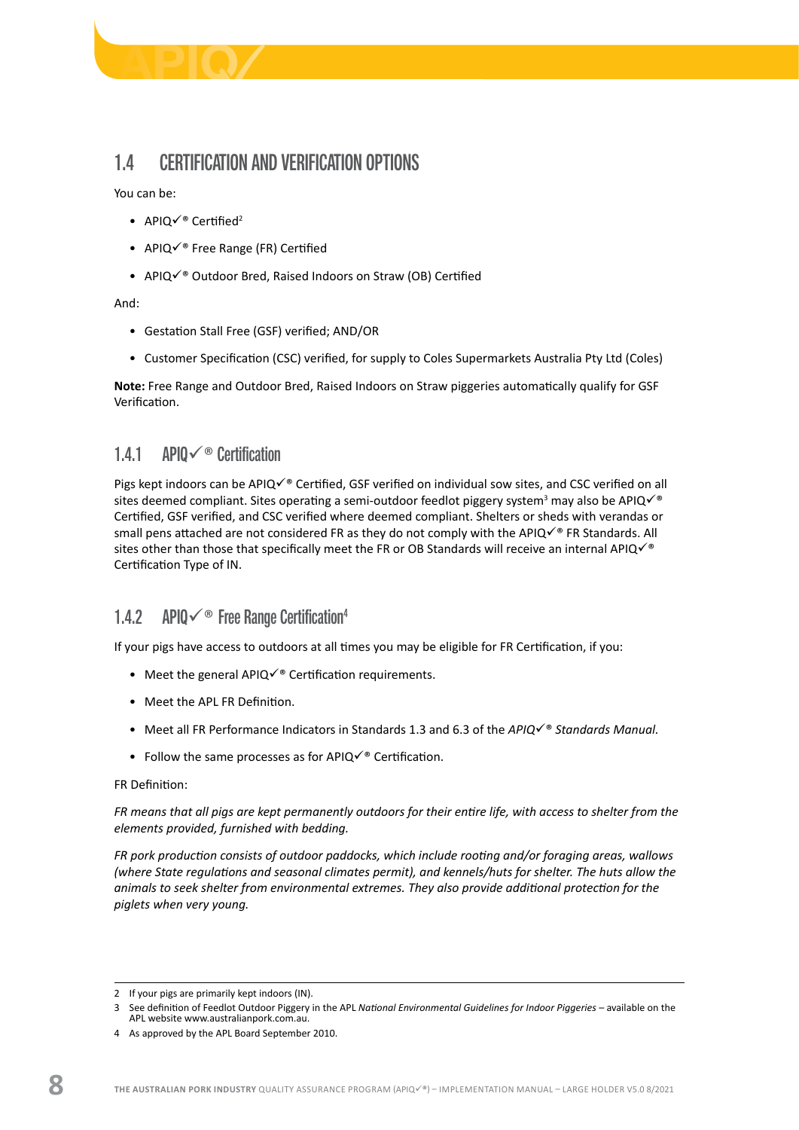<span id="page-9-0"></span>

# 1.4 CERTIFICATION AND VERIFICATION OPTIONS

You can be:

- APIQ $\checkmark$ ® Certified<sup>2</sup>
- APIQ $\checkmark$ ® Free Range (FR) Certified
- APIQ $\checkmark$ <sup>®</sup> Outdoor Bred, Raised Indoors on Straw (OB) Certified

And:

- Gestation Stall Free (GSF) verified; AND/OR
- Customer Specification (CSC) verified, for supply to Coles Supermarkets Australia Pty Ltd (Coles)

**Note:** Free Range and Outdoor Bred, Raised Indoors on Straw piggeries automatically qualify for GSF Verification.

#### 1.4.1 APIO $\checkmark$ <sup>®</sup> Certification

Pigs kept indoors can be APIQ $\checkmark$ ® Certified, GSF verified on individual sow sites, and CSC verified on all sites deemed compliant. Sites operating a semi-outdoor feedlot piggery system<sup>3</sup> may also be APIQ $\checkmark$ <sup>®</sup> Certified, GSF verified, and CSC verified where deemed compliant. Shelters or sheds with verandas or small pens attached are not considered FR as they do not comply with the APIQ $\checkmark$ ® FR Standards. All sites other than those that specifically meet the FR or OB Standards will receive an internal APIQ $\checkmark$ <sup>®</sup> Certification Type of IN.

## 1.4.2 APIQ $\checkmark$ <sup>®</sup> Free Range Certification<sup>4</sup>

If your pigs have access to outdoors at all times you may be eligible for FR Certification, if you:

- Meet the general APIQ $\checkmark$ <sup>®</sup> Certification requirements.
- Meet the APL FR Definition.
- Meet all FR Performance Indicators in Standards 1.3 and 6.3 of the *APIQ*<sup> $✓$ ®</sup> *Standards Manual.*
- Follow the same processes as for APIQ $\checkmark$ ® Certification.

FR Definition:

*FR means that all pigs are kept permanently outdoors for their entire life, with access to shelter from the elements provided, furnished with bedding.* 

*FR pork production consists of outdoor paddocks, which include rooting and/or foraging areas, wallows (where State regulations and seasonal climates permit), and kennels/huts for shelter. The huts allow the animals to seek shelter from environmental extremes. They also provide additional protection for the piglets when very young.* 

<sup>2</sup> If your pigs are primarily kept indoors (IN).

<sup>3</sup> See definition of Feedlot Outdoor Piggery in the APL *National Environmental Guidelines for Indoor Piggeries* – available on the APL website www.australianpork.com.au.

<sup>4</sup> As approved by the APL Board September 2010.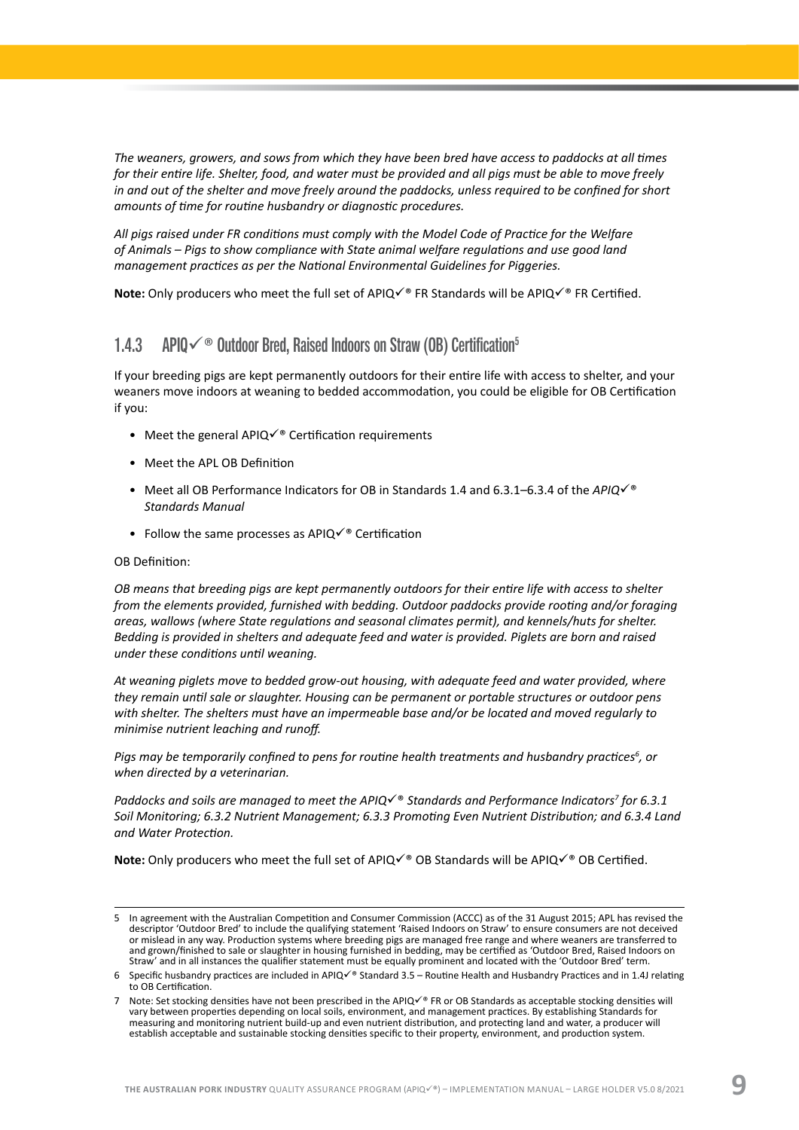<span id="page-10-0"></span>*The weaners, growers, and sows from which they have been bred have access to paddocks at all times for their entire life. Shelter, food, and water must be provided and all pigs must be able to move freely in and out of the shelter and move freely around the paddocks, unless required to be confined for short amounts of time for routine husbandry or diagnostic procedures.*

*All pigs raised under FR conditions must comply with the Model Code of Practice for the Welfare of Animals – Pigs to show compliance with State animal welfare regulations and use good land management practices as per the National Environmental Guidelines for Piggeries.*

**Note:** Only producers who meet the full set of APIQ $\checkmark$ <sup>®</sup> FR Standards will be APIQ $\checkmark$ <sup>®</sup> FR Certified.

#### 1.4.3 APIO $\checkmark$ <sup>®</sup> Outdoor Bred, Raised Indoors on Straw (OB) Certification<sup>5</sup>

If your breeding pigs are kept permanently outdoors for their entire life with access to shelter, and your weaners move indoors at weaning to bedded accommodation, you could be eligible for OB Certification if you:

- Meet the general APIQ $\checkmark$ <sup>®</sup> Certification requirements
- Meet the APL OB Definition
- Meet all OB Performance Indicators for OB in Standards 1.4 and 6.3.1–6.3.4 of the  $APIQ\checkmark$ <sup>®</sup> *Standards Manual*
- Follow the same processes as APIQ $\checkmark$ <sup>®</sup> Certification

#### OB Definition:

*OB means that breeding pigs are kept permanently outdoors for their entire life with access to shelter from the elements provided, furnished with bedding. Outdoor paddocks provide rooting and/or foraging areas, wallows (where State regulations and seasonal climates permit), and kennels/huts for shelter. Bedding is provided in shelters and adequate feed and water is provided. Piglets are born and raised under these conditions until weaning.* 

*At weaning piglets move to bedded grow-out housing, with adequate feed and water provided, where they remain until sale or slaughter. Housing can be permanent or portable structures or outdoor pens with shelter. The shelters must have an impermeable base and/or be located and moved regularly to minimise nutrient leaching and runoff.*

*Pigs may be temporarily confined to pens for routine health treatments and husbandry practices<sup>6</sup> , or when directed by a veterinarian.* 

Paddocks and soils are managed to meet the APIQ $\checkmark$ ® Standards and Performance Indicators<sup>7</sup> for 6.3.1 *Soil Monitoring; 6.3.2 Nutrient Management; 6.3.3 Promoting Even Nutrient Distribution; and 6.3.4 Land and Water Protection.* 

**Note:** Only producers who meet the full set of APIQè OB Standards will be APIQ√® OB Certified.

<sup>5</sup> In agreement with the Australian Competition and Consumer Commission (ACCC) as of the 31 August 2015; APL has revised the descriptor 'Outdoor Bred' to include the qualifying statement 'Raised Indoors on Straw' to ensure consumers are not deceived or mislead in any way. Production systems where breeding pigs are managed free range and where weaners are transferred to and grown/finished to sale or slaughter in housing furnished in bedding, may be certified as 'Outdoor Bred, Raised Indoors on<br>Straw' and in all instances the qualifier statement must be equally prominent and located with t

<sup>6</sup> Specific husbandry practices are included in APIQ $\checkmark$ <sup>®</sup> Standard 3.5 – Routine Health and Husbandry Practices and in 1.4J relating to OB Certification.

<sup>7</sup> Note: Set stocking densities have not been prescribed in the APIQ $\check{\check{\;}}$  FR or OB Standards as acceptable stocking densities will vary between properties depending on local soils, environment, and management practices. By establishing Standards for measuring and monitoring nutrient build-up and even nutrient distribution, and protecting land and water, a producer will establish acceptable and sustainable stocking densities specific to their property, environment, and production system.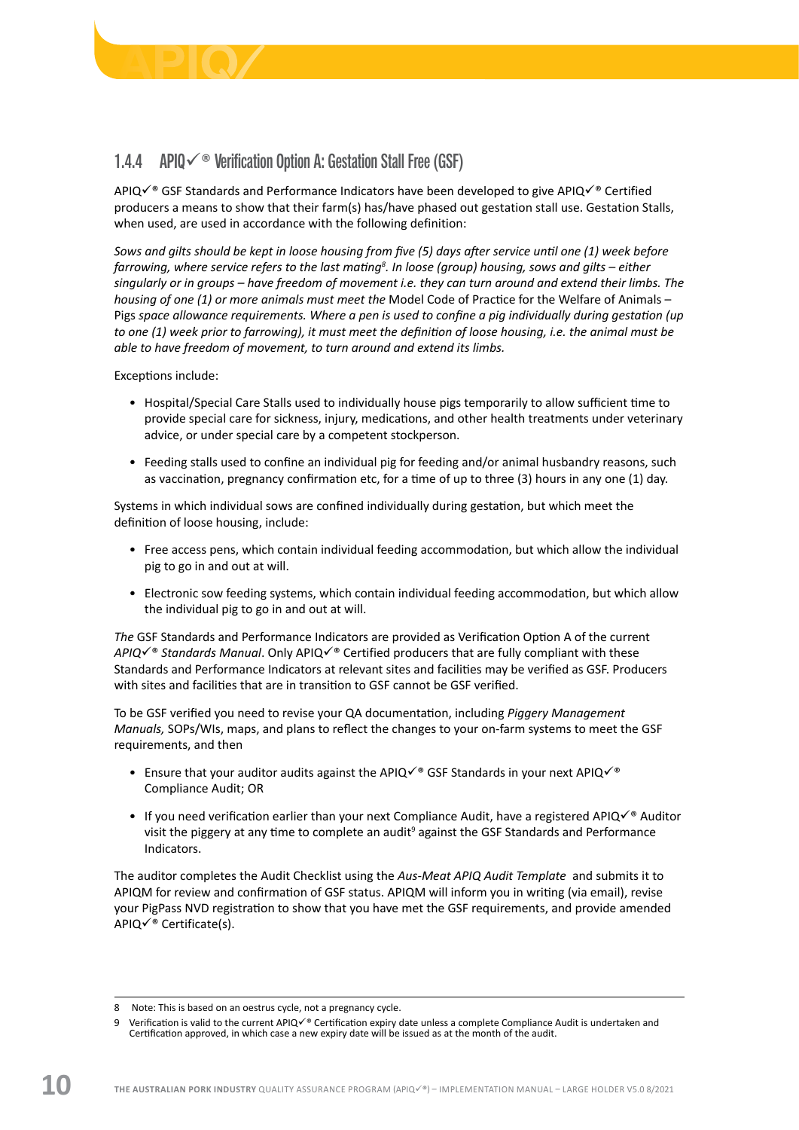<span id="page-11-0"></span>

### 1.4.4 APIQ $\checkmark$ <sup>®</sup> Verification Option A: Gestation Stall Free (GSF)

APIQ $\check{\mathcal{C}}$ ® GSF Standards and Performance Indicators have been developed to give APIQ $\check{\mathcal{C}}$ ® Certified producers a means to show that their farm(s) has/have phased out gestation stall use. Gestation Stalls, when used, are used in accordance with the following definition:

*Sows and gilts should be kept in loose housing from five (5) days after service until one (1) week before farrowing, where service refers to the last mating<sup>8</sup> . In loose (group) housing, sows and gilts – either singularly or in groups – have freedom of movement i.e. they can turn around and extend their limbs. The housing of one (1) or more animals must meet the* Model Code of Practice for the Welfare of Animals – Pigs *space allowance requirements. Where a pen is used to confine a pig individually during gestation (up to one (1) week prior to farrowing), it must meet the definition of loose housing, i.e. the animal must be able to have freedom of movement, to turn around and extend its limbs.*

Exceptions include:

- Hospital/Special Care Stalls used to individually house pigs temporarily to allow sufficient time to provide special care for sickness, injury, medications, and other health treatments under veterinary advice, or under special care by a competent stockperson.
- Feeding stalls used to confine an individual pig for feeding and/or animal husbandry reasons, such as vaccination, pregnancy confirmation etc, for a time of up to three (3) hours in any one (1) day.

Systems in which individual sows are confined individually during gestation, but which meet the definition of loose housing, include:

- Free access pens, which contain individual feeding accommodation, but which allow the individual pig to go in and out at will.
- Electronic sow feeding systems, which contain individual feeding accommodation, but which allow the individual pig to go in and out at will.

*The* GSF Standards and Performance Indicators are provided as Verification Option A of the current *APIQ*<sup>è</sup> Standards Manual. Only APIQ<sup>√®</sup> Certified producers that are fully compliant with these Standards and Performance Indicators at relevant sites and facilities may be verified as GSF. Producers with sites and facilities that are in transition to GSF cannot be GSF verified.

To be GSF verified you need to revise your QA documentation, including *Piggery Management Manuals,* SOPs/WIs, maps, and plans to reflect the changes to your on-farm systems to meet the GSF requirements, and then

- Ensure that your auditor audits against the APIQ $\check{\check{\;}}$  GSF Standards in your next APIQ $\check{\check{\;}}$ Compliance Audit; OR
- If you need verification earlier than your next Compliance Audit, have a registered APIQ $\checkmark$ <sup>®</sup> Auditor visit the piggery at any time to complete an audit<sup>9</sup> against the GSF Standards and Performance Indicators.

The auditor completes the Audit Checklist using the *Aus-Meat APIQ Audit Template* and submits it to APIQM for review and confirmation of GSF status. APIQM will inform you in writing (via email), revise your PigPass NVD registration to show that you have met the GSF requirements, and provide amended APIQ $\checkmark$ <sup>®</sup> Certificate(s).

<sup>8</sup> Note: This is based on an oestrus cycle, not a pregnancy cycle.

<sup>9</sup> Verification is valid to the current APIQ $\checkmark^*$  Certification expiry date unless a complete Compliance Audit is undertaken and Certification approved, in which case a new expiry date will be issued as at the month of the audit.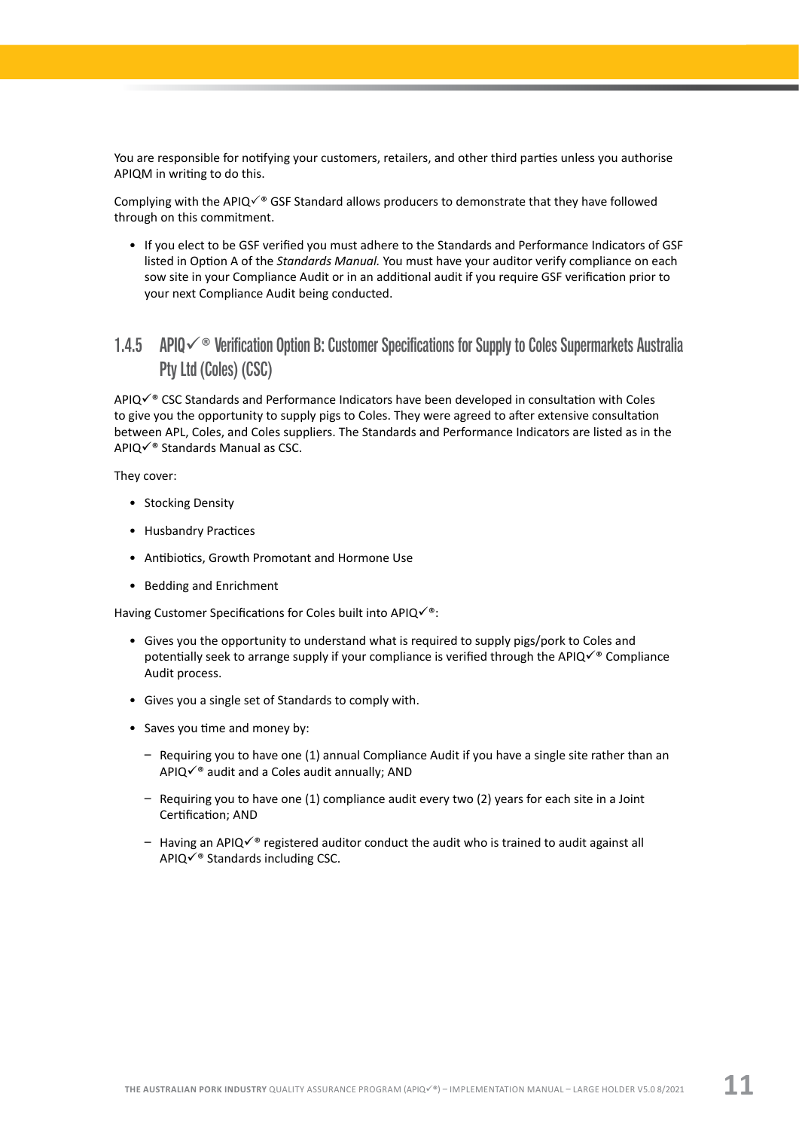<span id="page-12-0"></span>You are responsible for notifying your customers, retailers, and other third parties unless you authorise APIQM in writing to do this.

Complying with the APIQ $\checkmark$ <sup>®</sup> GSF Standard allows producers to demonstrate that they have followed through on this commitment.

• If you elect to be GSF verified you must adhere to the Standards and Performance Indicators of GSF listed in Option A of the *Standards Manual.* You must have your auditor verify compliance on each sow site in your Compliance Audit or in an additional audit if you require GSF verification prior to your next Compliance Audit being conducted.

## 1.4.5 APIQ $\checkmark$ <sup>®</sup> Verification Option B: Customer Specifications for Supply to Coles Supermarkets Australia Pty Ltd (Coles) (CSC)

APIQè CSC Standards and Performance Indicators have been developed in consultation with Coles to give you the opportunity to supply pigs to Coles. They were agreed to after extensive consultation between APL, Coles, and Coles suppliers. The Standards and Performance Indicators are listed as in the APIQ $\checkmark$ <sup>®</sup> Standards Manual as CSC.

They cover:

- Stocking Density
- Husbandry Practices
- Antibiotics, Growth Promotant and Hormone Use
- Bedding and Enrichment

Having Customer Specifications for Coles built into APIQ $\checkmark$ <sup>®</sup>:

- Gives you the opportunity to understand what is required to supply pigs/pork to Coles and potentially seek to arrange supply if your compliance is verified through the APIQ $\checkmark$ <sup>®</sup> Compliance Audit process.
- Gives you a single set of Standards to comply with.
- Saves you time and money by:
	- Requiring you to have one (1) annual Compliance Audit if you have a single site rather than an APIQ $\checkmark$ <sup>®</sup> audit and a Coles audit annually; AND
	- Requiring you to have one (1) compliance audit every two (2) years for each site in a Joint Certification; AND
	- Having an APIQ $\check{\check{\;}}$  registered auditor conduct the audit who is trained to audit against all  $APIQV@$  Standards including CSC.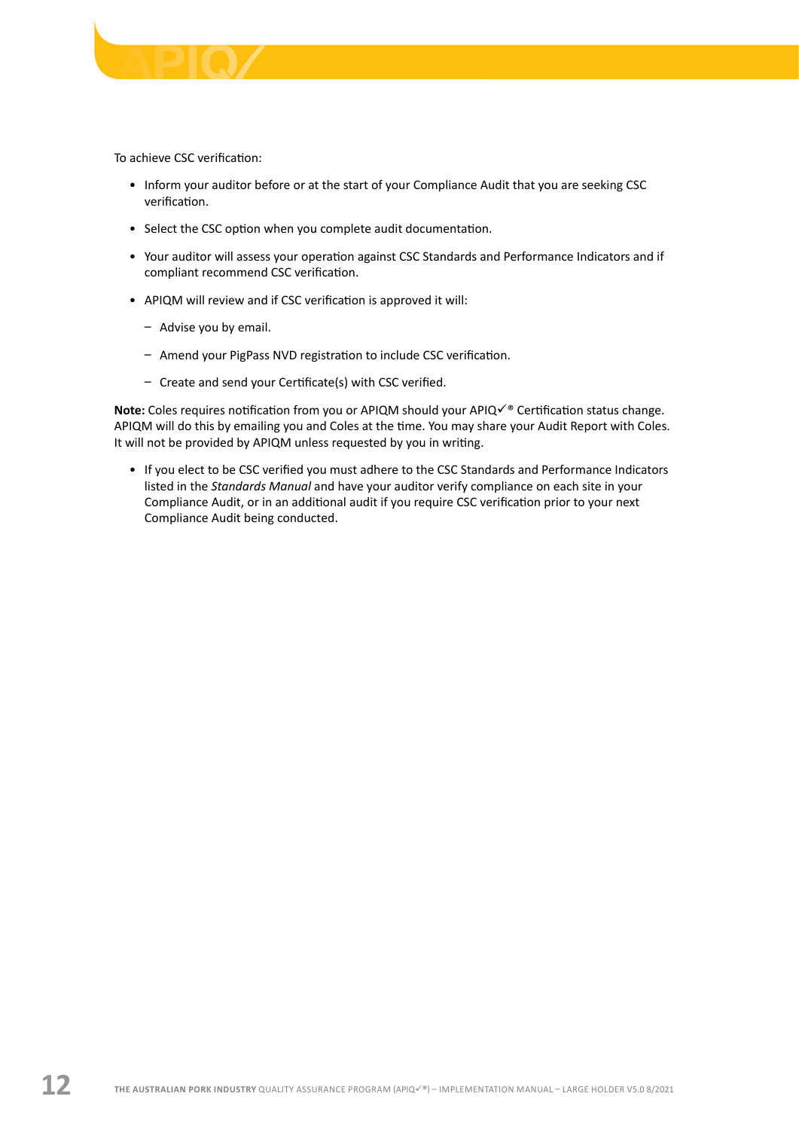

To achieve CSC verification:

- Inform your auditor before or at the start of your Compliance Audit that you are seeking CSC verification.
- Select the CSC option when you complete audit documentation.
- Your auditor will assess your operation against CSC Standards and Performance Indicators and if compliant recommend CSC verification.
- APIQM will review and if CSC verification is approved it will:
	- Advise you by email.
	- Amend your PigPass NVD registration to include CSC verification.
	- Create and send your Certificate(s) with CSC verified.

Note: Coles requires notification from you or APIQM should your APIQ<sup> $\checkmark$ ® Certification status change.</sup> APIQM will do this by emailing you and Coles at the time. You may share your Audit Report with Coles. It will not be provided by APIQM unless requested by you in writing.

• If you elect to be CSC verified you must adhere to the CSC Standards and Performance Indicators listed in the *Standards Manual* and have your auditor verify compliance on each site in your Compliance Audit, or in an additional audit if you require CSC verification prior to your next Compliance Audit being conducted.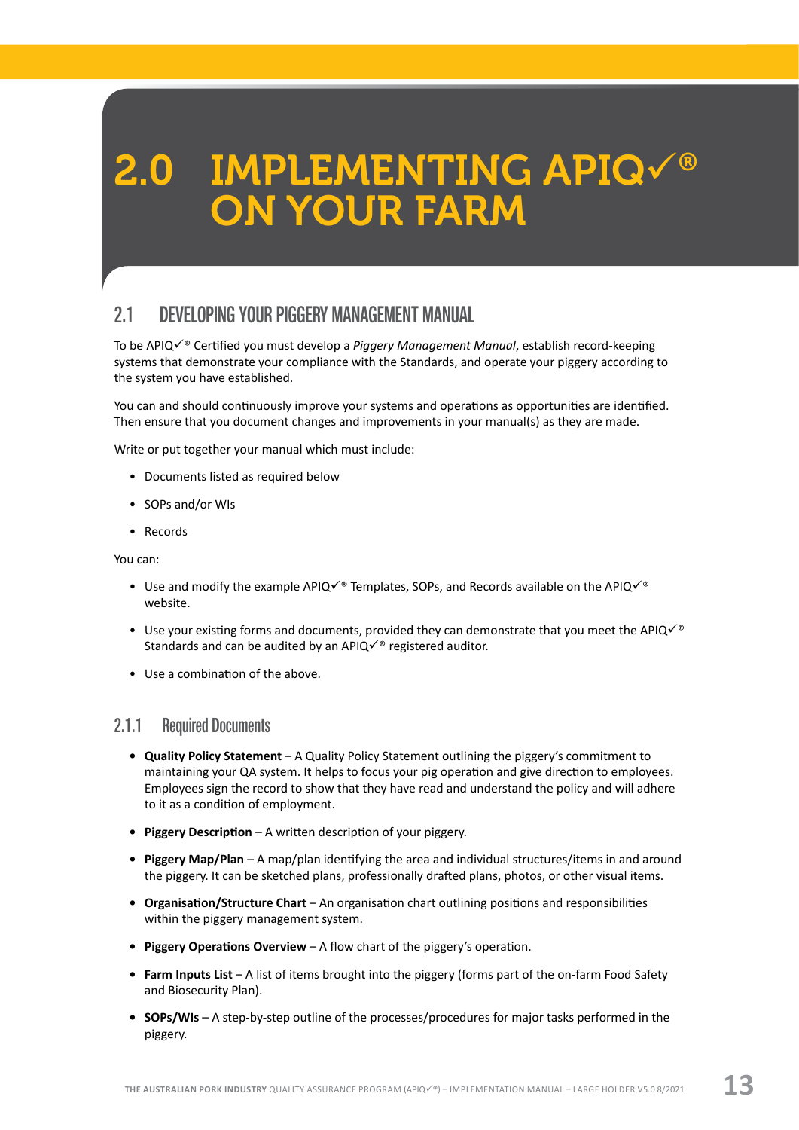# <span id="page-14-0"></span>2.0 IMPLEMENTING APIQ $\checkmark$ ® **ON YOUR FARM**

# 2.1 DEVELOPING YOUR PIGGERY MANAGEMENT MANUAL

To be APIQè Certified you must develop a *Piggery Management Manual*, establish record-keeping systems that demonstrate your compliance with the Standards, and operate your piggery according to the system you have established.

You can and should continuously improve your systems and operations as opportunities are identified. Then ensure that you document changes and improvements in your manual(s) as they are made.

Write or put together your manual which must include:

- Documents listed as required below
- SOPs and/or WIs
- Records

You can:

- Use and modify the example APIQ $\checkmark$ ® Templates, SOPs, and Records available on the APIQ $\checkmark$ ® website.
- Use your existing forms and documents, provided they can demonstrate that you meet the APIQ $\checkmark$ <sup>®</sup> Standards and can be audited by an APIQ $\checkmark$ <sup>®</sup> registered auditor.
- Use a combination of the above.

#### 2.1.1 Required Documents

- **• Quality Policy Statement** A Quality Policy Statement outlining the piggery's commitment to maintaining your QA system. It helps to focus your pig operation and give direction to employees. Employees sign the record to show that they have read and understand the policy and will adhere to it as a condition of employment.
- **• Piggery Description** A written description of your piggery.
- **• Piggery Map/Plan** A map/plan identifying the area and individual structures/items in and around the piggery. It can be sketched plans, professionally drafted plans, photos, or other visual items.
- **• Organisation/Structure Chart** An organisation chart outlining positions and responsibilities within the piggery management system.
- **• Piggery Operations Overview** A flow chart of the piggery's operation.
- **• Farm Inputs List** A list of items brought into the piggery (forms part of the on-farm Food Safety and Biosecurity Plan).
- **• SOPs/WIs** A step-by-step outline of the processes/procedures for major tasks performed in the piggery.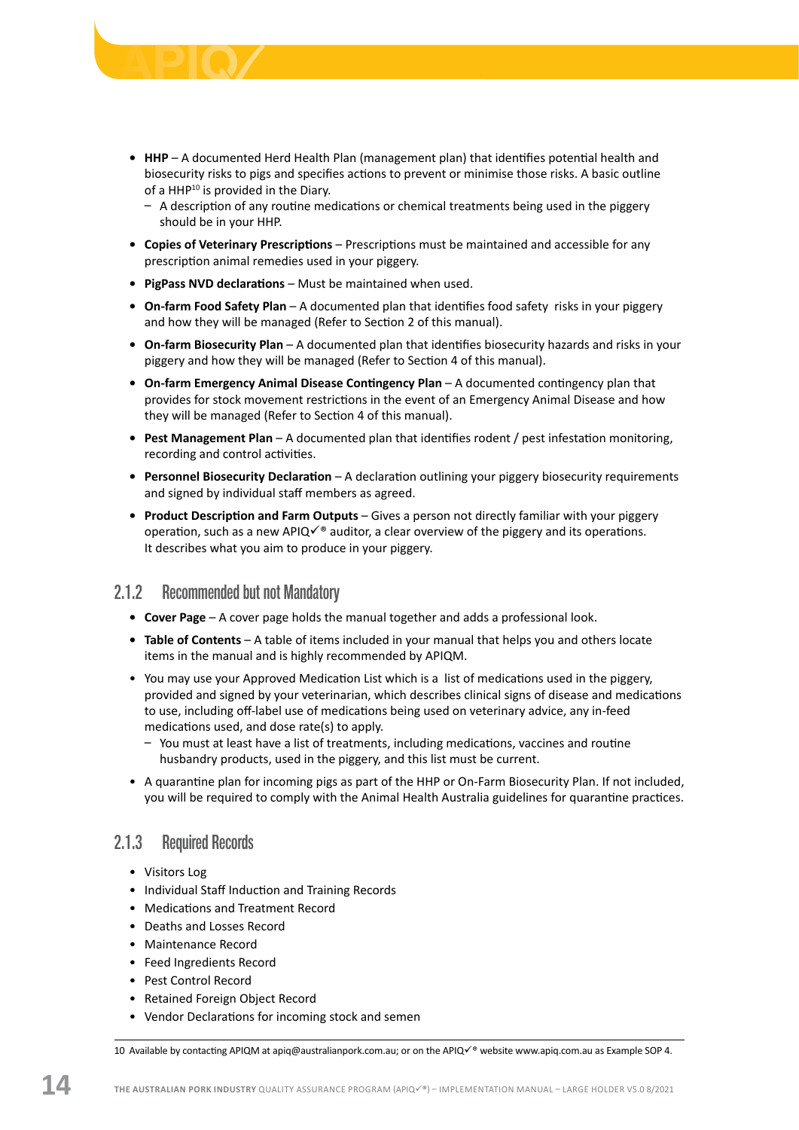- <span id="page-15-0"></span>**• HHP** – A documented Herd Health Plan (management plan) that identifies potential health and biosecurity risks to pigs and specifies actions to prevent or minimise those risks. A basic outline of a HHP<sup>10</sup> is provided in the Diary.
	- A description of any routine medications or chemical treatments being used in the piggery should be in your HHP.
- **• Copies of Veterinary Prescriptions** Prescriptions must be maintained and accessible for any prescription animal remedies used in your piggery.
- **• PigPass NVD declarations** Must be maintained when used.
- **• On-farm Food Safety Plan**  A documented plan that identifies food safety risks in your piggery and how they will be managed (Refer to Section 2 of this manual).
- **• On-farm Biosecurity Plan** A documented plan that identifies biosecurity hazards and risks in your piggery and how they will be managed (Refer to Section 4 of this manual).
- **• On-farm Emergency Animal Disease Contingency Plan** A documented contingency plan that provides for stock movement restrictions in the event of an Emergency Animal Disease and how they will be managed (Refer to Section 4 of this manual).
- **• Pest Management Plan** A documented plan that identifies rodent / pest infestation monitoring, recording and control activities.
- **Personnel Biosecurity Declaration** A declaration outlining your piggery biosecurity requirements and signed by individual staff members as agreed.
- **• Product Description and Farm Outputs** Gives a person not directly familiar with your piggery operation, such as a new APIQ $\checkmark$ <sup>®</sup> auditor, a clear overview of the piggery and its operations. It describes what you aim to produce in your piggery.

#### 2.1.2 Recommended but not Mandatory

- **• Cover Page** A cover page holds the manual together and adds a professional look.
- **• Table of Contents** A table of items included in your manual that helps you and others locate items in the manual and is highly recommended by APIQM.
- You may use your Approved Medication List which is a list of medications used in the piggery, provided and signed by your veterinarian, which describes clinical signs of disease and medications to use, including off-label use of medications being used on veterinary advice, any in-feed medications used, and dose rate(s) to apply.
	- You must at least have a list of treatments, including medications, vaccines and routine husbandry products, used in the piggery, and this list must be current.
- A quarantine plan for incoming pigs as part of the HHP or On-Farm Biosecurity Plan. If not included, you will be required to comply with the Animal Health Australia guidelines for quarantine practices.

#### 2.1.3 Required Records

- Visitors Log
- Individual Staff Induction and Training Records
- Medications and Treatment Record
- Deaths and Losses Record
- Maintenance Record
- Feed Ingredients Record
- Pest Control Record
- Retained Foreign Object Record
- Vendor Declarations for incoming stock and semen

10 Available by contacting APIQM at [apiq@australianpork.com.au](mailto:apiq@australianpork.com.au); or on the APIQ $\checkmark$ ® website [www.apiq.com.au](http://www.apiq.com.au) as Example SOP 4.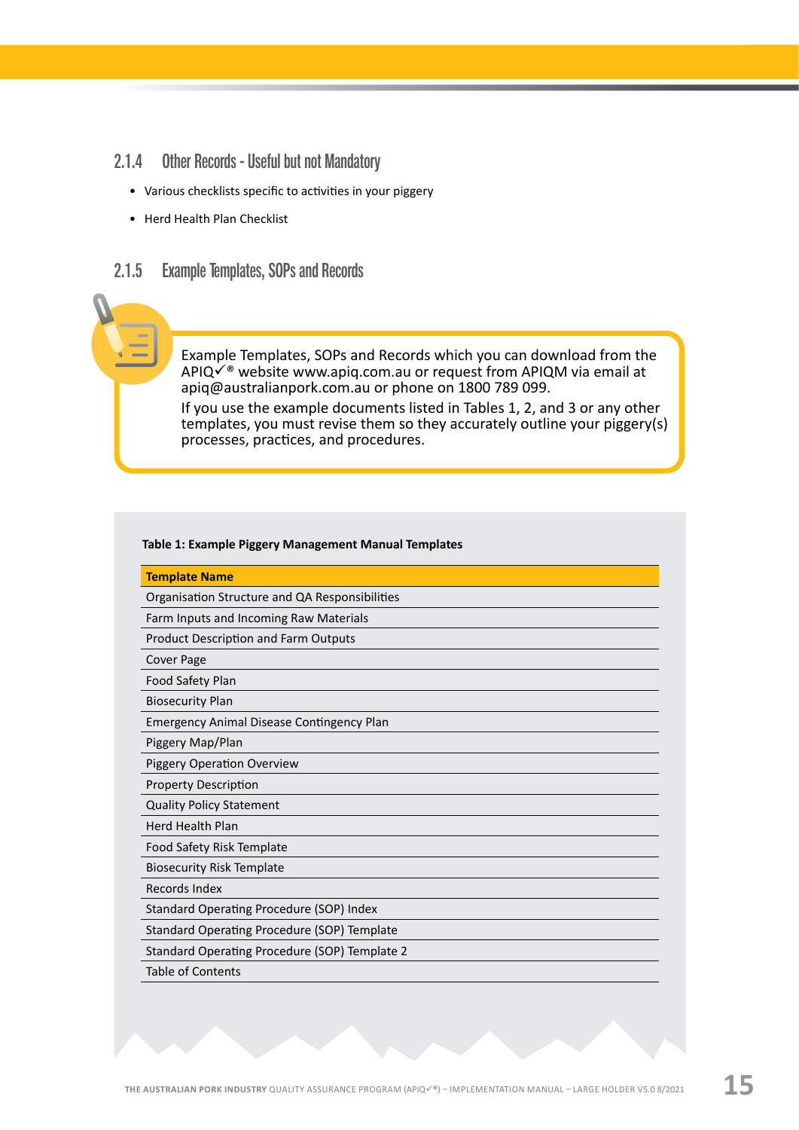- <span id="page-16-0"></span>2.1.4 Other Records - Useful but not Mandatory
	- Various checklists specific to activities in your piggery
	- Herd Health Plan Checklist

#### 2.1.5 Example Templates, SOPs and Records

Example Templates, SOPs and Records which you can download from the APIQ $\checkmark$ <sup>®</sup> website [www.apiq.com.au](http://www.apiq.com.au) or request from APIQM via email at [apiq@australianpork.com.au](mailto:apiq@australianpork.com.au) or phone on 1800 789 099. If you use the example documents listed in Tables 1, 2, and 3 or any other templates, you must revise them so they accurately outline your piggery(s) processes, practices, and procedures.

#### **Table 1: Example Piggery Management Manual Templates**

| Organisation Structure and QA Responsibilities<br>Farm Inputs and Incoming Raw Materials<br><b>Product Description and Farm Outputs</b> |
|-----------------------------------------------------------------------------------------------------------------------------------------|
|                                                                                                                                         |
|                                                                                                                                         |
|                                                                                                                                         |
| Cover Page                                                                                                                              |
| Food Safety Plan                                                                                                                        |
| <b>Biosecurity Plan</b>                                                                                                                 |
| <b>Emergency Animal Disease Contingency Plan</b>                                                                                        |
| Piggery Map/Plan                                                                                                                        |
| <b>Piggery Operation Overview</b>                                                                                                       |
| <b>Property Description</b>                                                                                                             |
| <b>Quality Policy Statement</b>                                                                                                         |
| <b>Herd Health Plan</b>                                                                                                                 |
| Food Safety Risk Template                                                                                                               |
| <b>Biosecurity Risk Template</b>                                                                                                        |
| Records Index                                                                                                                           |
| <b>Standard Operating Procedure (SOP) Index</b>                                                                                         |
| Standard Operating Procedure (SOP) Template                                                                                             |
| Standard Operating Procedure (SOP) Template 2                                                                                           |
| <b>Table of Contents</b>                                                                                                                |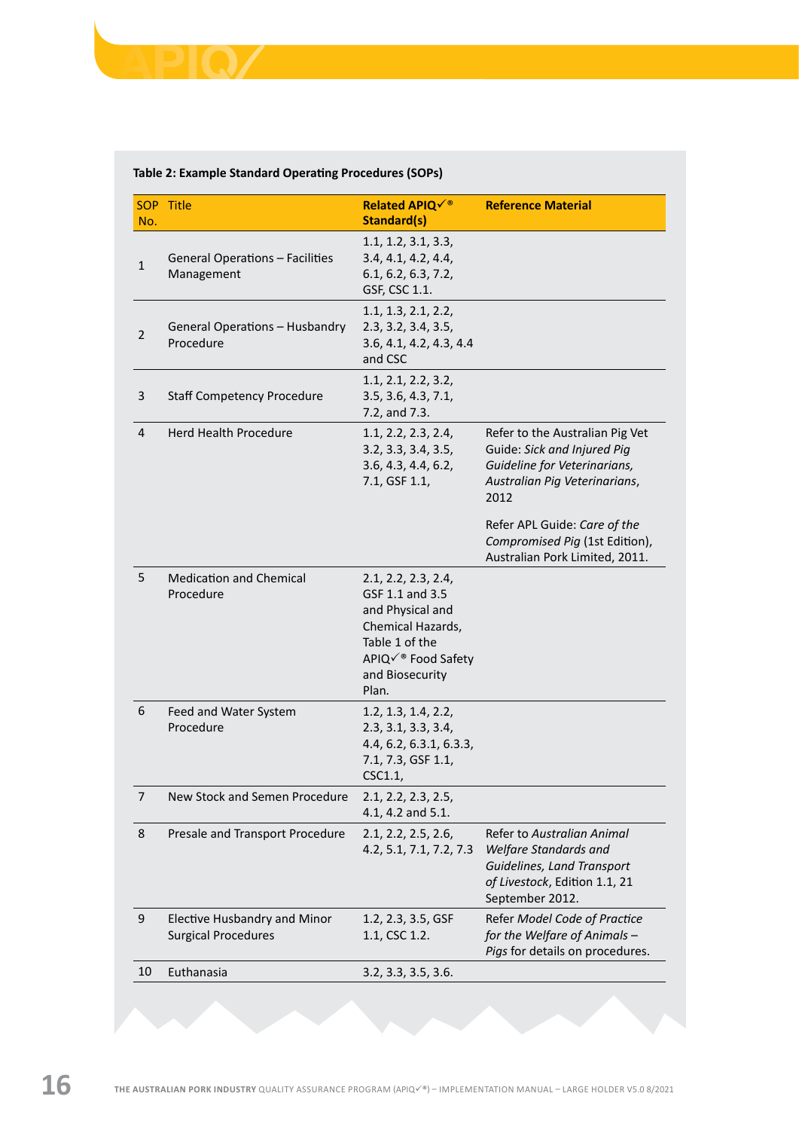#### **Table 2: Example Standard Operating Procedures (SOPs)**

|                | SOP Title                                                  | <b>Related APIQè</b>                                                                                                                               | <b>Reference Material</b>                                                                                                               |
|----------------|------------------------------------------------------------|----------------------------------------------------------------------------------------------------------------------------------------------------|-----------------------------------------------------------------------------------------------------------------------------------------|
| No.            |                                                            | <b>Standard(s)</b>                                                                                                                                 |                                                                                                                                         |
| $\mathbf{1}$   | General Operations – Facilities<br>Management              | 1.1, 1.2, 3.1, 3.3,<br>3.4, 4.1, 4.2, 4.4,<br>6.1, 6.2, 6.3, 7.2,<br>GSF, CSC 1.1.                                                                 |                                                                                                                                         |
| $\overline{2}$ | General Operations - Husbandry<br>Procedure                | 1.1, 1.3, 2.1, 2.2,<br>2.3, 3.2, 3.4, 3.5,<br>3.6, 4.1, 4.2, 4.3, 4.4<br>and CSC                                                                   |                                                                                                                                         |
| 3              | <b>Staff Competency Procedure</b>                          | 1.1, 2.1, 2.2, 3.2,<br>3.5, 3.6, 4.3, 7.1,<br>7.2, and 7.3.                                                                                        |                                                                                                                                         |
| 4              | Herd Health Procedure                                      | 1.1, 2.2, 2.3, 2.4,<br>3.2, 3.3, 3.4, 3.5,<br>3.6, 4.3, 4.4, 6.2,<br>7.1, GSF 1.1,                                                                 | Refer to the Australian Pig Vet<br>Guide: Sick and Injured Pig<br>Guideline for Veterinarians,<br>Australian Pig Veterinarians,<br>2012 |
|                |                                                            |                                                                                                                                                    | Refer APL Guide: Care of the<br>Compromised Pig (1st Edition),<br>Australian Pork Limited, 2011.                                        |
| 5              | <b>Medication and Chemical</b><br>Procedure                | 2.1, 2.2, 2.3, 2.4,<br>GSF 1.1 and 3.5<br>and Physical and<br>Chemical Hazards,<br>Table 1 of the<br>APIQè Food Safety<br>and Biosecurity<br>Plan. |                                                                                                                                         |
| 6              | Feed and Water System<br>Procedure                         | 1.2, 1.3, 1.4, 2.2,<br>2.3, 3.1, 3.3, 3.4,<br>4.4, 6.2, 6.3.1, 6.3.3,<br>7.1, 7.3, GSF 1.1,<br>CSC1.1,                                             |                                                                                                                                         |
| 7              | New Stock and Semen Procedure                              | 2.1, 2.2, 2.3, 2.5,<br>4.1, 4.2 and 5.1.                                                                                                           |                                                                                                                                         |
| 8              | Presale and Transport Procedure                            | 2.1, 2.2, 2.5, 2.6,<br>4.2, 5.1, 7.1, 7.2, 7.3                                                                                                     | Refer to Australian Animal<br>Welfare Standards and<br>Guidelines, Land Transport<br>of Livestock, Edition 1.1, 21<br>September 2012.   |
| 9              | Elective Husbandry and Minor<br><b>Surgical Procedures</b> | 1.2, 2.3, 3.5, GSF<br>1.1, CSC 1.2.                                                                                                                | Refer Model Code of Practice<br>for the Welfare of Animals -<br>Pigs for details on procedures.                                         |
| 10             | Euthanasia                                                 | 3.2, 3.3, 3.5, 3.6.                                                                                                                                |                                                                                                                                         |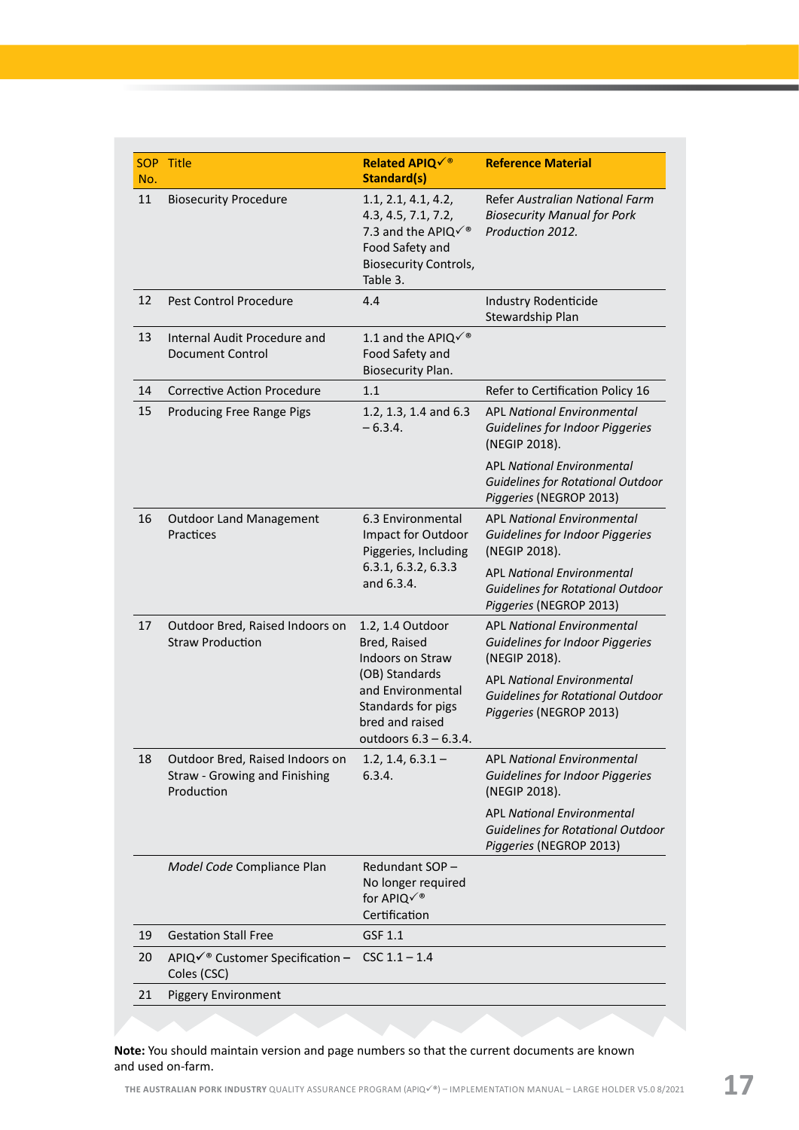| No. | SOP Title                                                                      | <b>Related APIQè</b><br><b>Standard(s)</b>                                                                                     | <b>Reference Material</b>                                                                                                  |  |  |  |
|-----|--------------------------------------------------------------------------------|--------------------------------------------------------------------------------------------------------------------------------|----------------------------------------------------------------------------------------------------------------------------|--|--|--|
| 11  | <b>Biosecurity Procedure</b>                                                   | 1.1, 2.1, 4.1, 4.2,<br>4.3, 4.5, 7.1, 7.2,<br>7.3 and the APIQè<br>Food Safety and<br><b>Biosecurity Controls,</b><br>Table 3. | Refer Australian National Farm<br><b>Biosecurity Manual for Pork</b><br>Production 2012.                                   |  |  |  |
| 12  | Pest Control Procedure                                                         | 4.4                                                                                                                            | <b>Industry Rodenticide</b><br>Stewardship Plan                                                                            |  |  |  |
| 13  | Internal Audit Procedure and<br><b>Document Control</b>                        | 1.1 and the APIQè<br>Food Safety and<br>Biosecurity Plan.                                                                      |                                                                                                                            |  |  |  |
| 14  | <b>Corrective Action Procedure</b>                                             | 1.1                                                                                                                            | Refer to Certification Policy 16                                                                                           |  |  |  |
| 15  | Producing Free Range Pigs                                                      | 1.2, 1.3, 1.4 and 6.3<br>$-6.3.4.$                                                                                             | <b>APL National Environmental</b><br>Guidelines for Indoor Piggeries<br>(NEGIP 2018).<br><b>APL National Environmental</b> |  |  |  |
|     |                                                                                |                                                                                                                                | Guidelines for Rotational Outdoor<br>Piggeries (NEGROP 2013)                                                               |  |  |  |
| 16  | <b>Outdoor Land Management</b><br>Practices                                    | 6.3 Environmental<br>Impact for Outdoor<br>Piggeries, Including                                                                | <b>APL National Environmental</b><br>Guidelines for Indoor Piggeries<br>(NEGIP 2018).                                      |  |  |  |
|     |                                                                                | 6.3.1, 6.3.2, 6.3.3<br>and 6.3.4.                                                                                              | <b>APL National Environmental</b><br>Guidelines for Rotational Outdoor<br>Piggeries (NEGROP 2013)                          |  |  |  |
| 17  | Outdoor Bred, Raised Indoors on<br><b>Straw Production</b>                     | 1.2, 1.4 Outdoor<br>Bred, Raised<br>Indoors on Straw                                                                           | <b>APL National Environmental</b><br>Guidelines for Indoor Piggeries<br>(NEGIP 2018).                                      |  |  |  |
|     |                                                                                | (OB) Standards<br>and Environmental<br>Standards for pigs<br>bred and raised<br>outdoors $6.3 - 6.3.4$ .                       | <b>APL National Environmental</b><br><b>Guidelines for Rotational Outdoor</b><br>Piggeries (NEGROP 2013)                   |  |  |  |
| 18  | Outdoor Bred, Raised Indoors on<br>Straw - Growing and Finishing<br>Production | $1.2, 1.4, 6.3.1 -$<br>6.3.4.                                                                                                  | <b>APL National Environmental</b><br>Guidelines for Indoor Piggeries<br>(NEGIP 2018).                                      |  |  |  |
|     |                                                                                |                                                                                                                                | <b>APL National Environmental</b><br>Guidelines for Rotational Outdoor<br>Piggeries (NEGROP 2013)                          |  |  |  |
|     | Model Code Compliance Plan                                                     | Redundant SOP-<br>No longer required<br>for APIQè<br>Certification                                                             |                                                                                                                            |  |  |  |
| 19  | <b>Gestation Stall Free</b>                                                    | GSF 1.1                                                                                                                        |                                                                                                                            |  |  |  |
| 20  | APIQè Customer Specification -<br>Coles (CSC)                                  | $CSC 1.1 - 1.4$                                                                                                                |                                                                                                                            |  |  |  |
| 21  | <b>Piggery Environment</b>                                                     |                                                                                                                                |                                                                                                                            |  |  |  |
|     |                                                                                |                                                                                                                                |                                                                                                                            |  |  |  |

**Note:** You should maintain version and page numbers so that the current documents are known and used on-farm.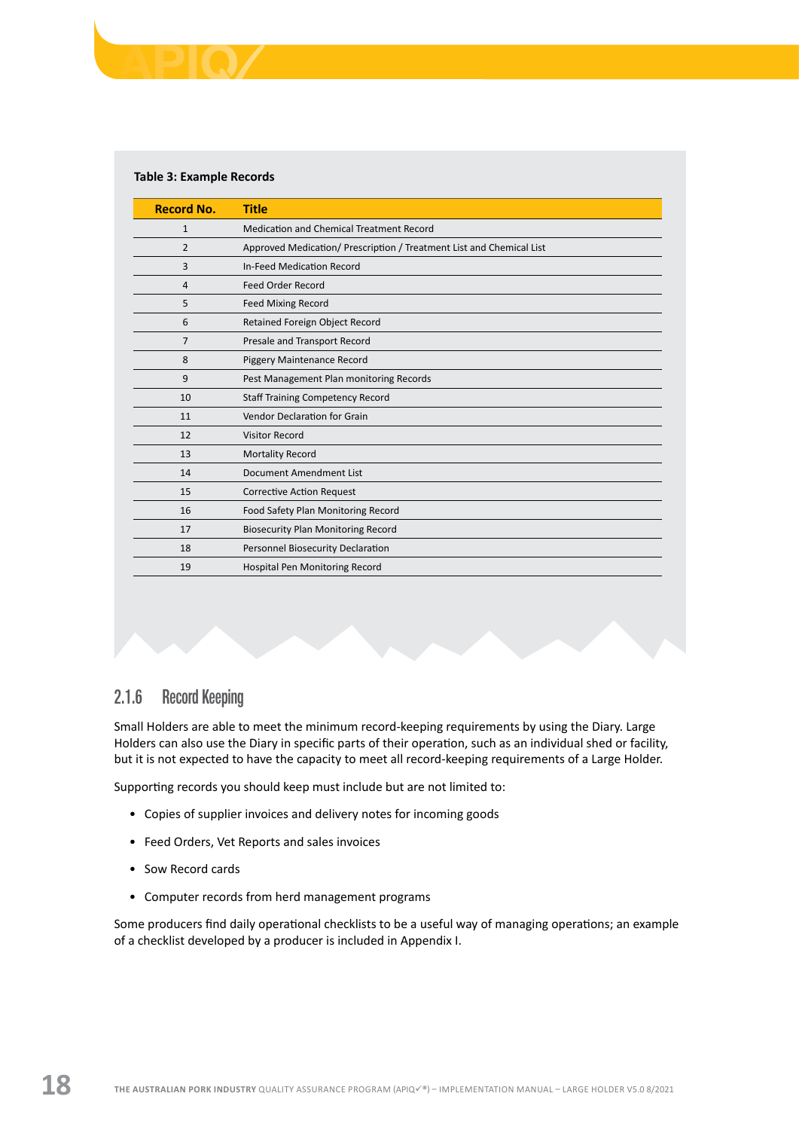#### <span id="page-19-0"></span>**Table 3: Example Records**

| <b>Record No.</b> | <b>Title</b>                                                         |
|-------------------|----------------------------------------------------------------------|
| $\mathbf{1}$      | Medication and Chemical Treatment Record                             |
| $\overline{2}$    | Approved Medication/ Prescription / Treatment List and Chemical List |
| 3                 | In-Feed Medication Record                                            |
| 4                 | <b>Feed Order Record</b>                                             |
| 5                 | <b>Feed Mixing Record</b>                                            |
| 6                 | Retained Foreign Object Record                                       |
| 7                 | Presale and Transport Record                                         |
| 8                 | Piggery Maintenance Record                                           |
| 9                 | Pest Management Plan monitoring Records                              |
| 10                | <b>Staff Training Competency Record</b>                              |
| 11                | Vendor Declaration for Grain                                         |
| 12                | Visitor Record                                                       |
| 13                | <b>Mortality Record</b>                                              |
| 14                | Document Amendment List                                              |
| 15                | <b>Corrective Action Request</b>                                     |
| 16                | Food Safety Plan Monitoring Record                                   |
| 17                | <b>Biosecurity Plan Monitoring Record</b>                            |
| 18                | Personnel Biosecurity Declaration                                    |
| 19                | Hospital Pen Monitoring Record                                       |

#### 2.1.6 Record Keeping

Small Holders are able to meet the minimum record-keeping requirements by using the Diary. Large Holders can also use the Diary in specific parts of their operation, such as an individual shed or facility, but it is not expected to have the capacity to meet all record-keeping requirements of a Large Holder.

Supporting records you should keep must include but are not limited to:

- Copies of supplier invoices and delivery notes for incoming goods
- Feed Orders, Vet Reports and sales invoices
- Sow Record cards
- Computer records from herd management programs

Some producers find daily operational checklists to be a useful way of managing operations; an example of a checklist developed by a producer is included in Appendix I.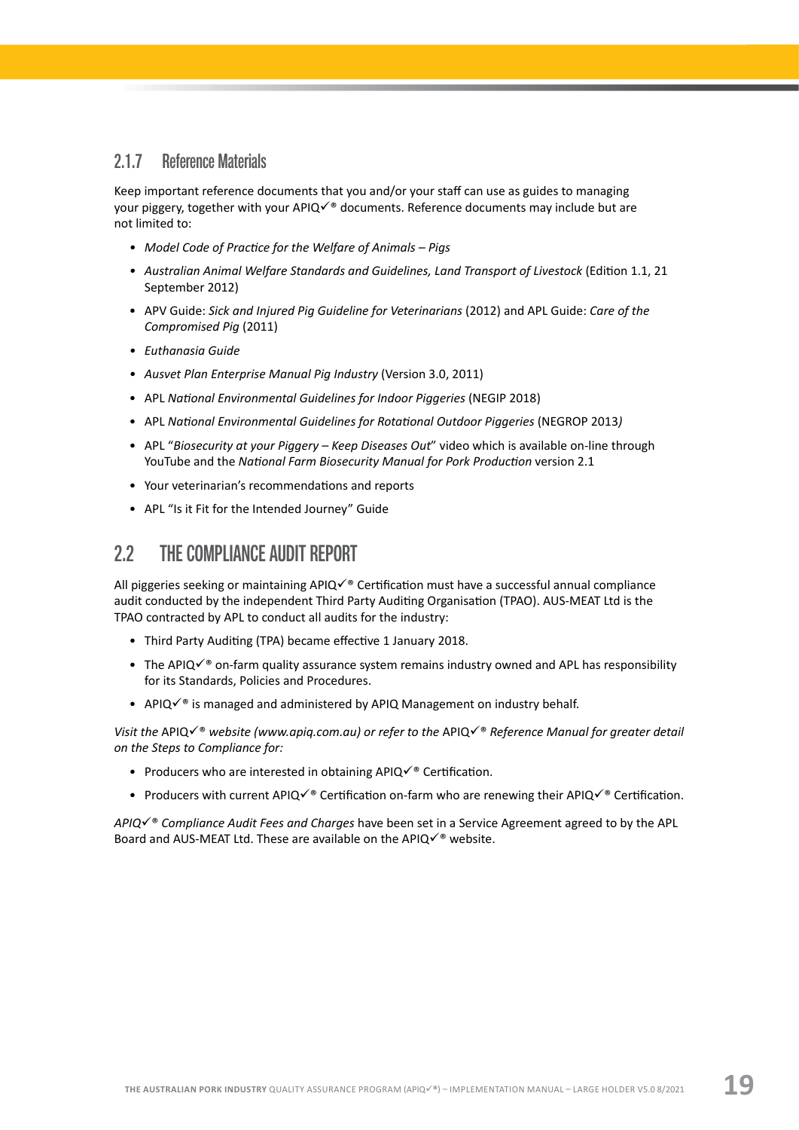#### <span id="page-20-0"></span>2.1.7 Reference Materials

Keep important reference documents that you and/or your staff can use as guides to managing your piggery, together with your APIQ $\checkmark$ <sup>®</sup> documents. Reference documents may include but are not limited to:

- *• Model Code of Practice for the Welfare of Animals Pigs*
- Australian Animal Welfare Standards and Guidelines, Land Transport of Livestock (Edition 1.1, 21 September 2012)
- APV Guide: *Sick and Injured Pig Guideline for Veterinarians* (2012) and APL Guide: *Care of the Compromised Pig* (2011)
- *• Euthanasia Guide*
- *• Ausvet Plan Enterprise Manual Pig Industry* (Version 3.0, 2011)
- APL *National Environmental Guidelines for Indoor Piggeries* (NEGIP 2018)
- APL *National Environmental Guidelines for Rotational Outdoor Piggeries* (NEGROP 2013*)*
- APL "*Biosecurity at your Piggery Keep Diseases Out*" video which is available on-line through YouTube and the *National Farm Biosecurity Manual for Pork Production* version 2.1
- Your veterinarian's recommendations and reports
- APL "Is it Fit for the Intended Journey" Guide

# 2.2 THE COMPLIANCE AUDIT REPORT

All piggeries seeking or maintaining  $APIQV$ ® Certification must have a successful annual compliance audit conducted by the independent Third Party Auditing Organisation (TPAO). AUS-MEAT Ltd is the TPAO contracted by APL to conduct all audits for the industry:

- Third Party Auditing (TPA) became effective 1 January 2018.
- The APIQ $\checkmark$ <sup>®</sup> on-farm quality assurance system remains industry owned and APL has responsibility for its Standards, Policies and Procedures.
- APIQ $\checkmark$ <sup>®</sup> is managed and administered by APIQ Management on industry behalf.

*Visit the* APIQ√<sup>®</sup> website (www.apiq.com.au) or refer to the APIQ√<sup>®</sup> Reference Manual for greater detail *on the Steps to Compliance for:*

- Producers who are interested in obtaining APIQ $\checkmark$ <sup>®</sup> Certification.
- Producers with current APIQ $\checkmark$ ® Certification on-farm who are renewing their APIQ $\checkmark$ ® Certification.

*APIQ*√<sup>®</sup> Compliance Audit Fees and Charges have been set in a Service Agreement agreed to by the APL Board and AUS-MEAT Ltd. These are available on the APIQ $\checkmark$ <sup>®</sup> website.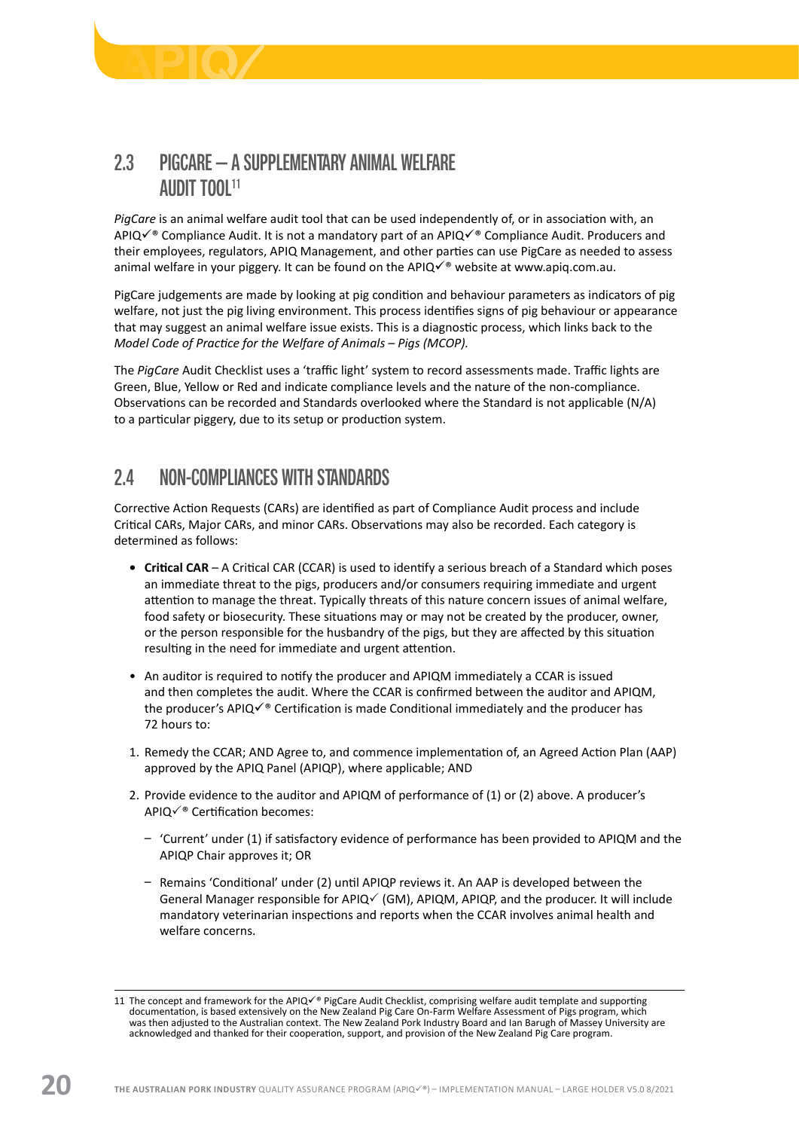<span id="page-21-0"></span>

# 2.3 PIGCARE – A SUPPLEMENTARY ANIMAL WELFARE AUDIT TOOL11

*PigCare* is an animal welfare audit tool that can be used independently of, or in association with, an APIQ $\checkmark$ <sup>®</sup> Compliance Audit. It is not a mandatory part of an APIQ $\checkmark$ <sup>®</sup> Compliance Audit. Producers and their employees, regulators, APIQ Management, and other parties can use PigCare as needed to assess animal welfare in your piggery. It can be found on the APIQ $\checkmark$ <sup>®</sup> website at [www.apiq.com.au](http://www.apiq.com.au).

PigCare judgements are made by looking at pig condition and behaviour parameters as indicators of pig welfare, not just the pig living environment. This process identifies signs of pig behaviour or appearance that may suggest an animal welfare issue exists. This is a diagnostic process, which links back to the *Model Code of Practice for the Welfare of Animals – Pigs (MCOP).* 

The *PigCare* Audit Checklist uses a 'traffic light' system to record assessments made. Traffic lights are Green, Blue, Yellow or Red and indicate compliance levels and the nature of the non-compliance. Observations can be recorded and Standards overlooked where the Standard is not applicable (N/A) to a particular piggery, due to its setup or production system.

# 2.4 NON-COMPLIANCES WITH STANDARDS

Corrective Action Requests (CARs) are identified as part of Compliance Audit process and include Critical CARs, Major CARs, and minor CARs. Observations may also be recorded. Each category is determined as follows:

- **• Critical CAR**  A Critical CAR (CCAR) is used to identify a serious breach of a Standard which poses an immediate threat to the pigs, producers and/or consumers requiring immediate and urgent attention to manage the threat. Typically threats of this nature concern issues of animal welfare, food safety or biosecurity. These situations may or may not be created by the producer, owner, or the person responsible for the husbandry of the pigs, but they are affected by this situation resulting in the need for immediate and urgent attention.
- An auditor is required to notify the producer and APIQM immediately a CCAR is issued and then completes the audit. Where the CCAR is confirmed between the auditor and APIQM, the producer's APIQ $\checkmark$ <sup>®</sup> Certification is made Conditional immediately and the producer has 72 hours to:
- 1. Remedy the CCAR; AND Agree to, and commence implementation of, an Agreed Action Plan (AAP) approved by the APIQ Panel (APIQP), where applicable; AND
- 2. Provide evidence to the auditor and APIQM of performance of (1) or (2) above. A producer's  $APIQ\check{ }^\circ$  Certification becomes:
	- ͵ 'Current' under (1) if satisfactory evidence of performance has been provided to APIQM and the APIQP Chair approves it; OR
	- Remains 'Conditional' under (2) until APIQP reviews it. An AAP is developed between the General Manager responsible for APIQ $\checkmark$  (GM), APIQM, APIQP, and the producer. It will include mandatory veterinarian inspections and reports when the CCAR involves animal health and welfare concerns.

<sup>11</sup> The concept and framework for the APIQ $\checkmark$ <sup>®</sup> PigCare Audit Checklist, comprising welfare audit template and supporting documentation, is based extensively on the New Zealand Pig Care On-Farm Welfare Assessment of Pigs program, which was then adjusted to the Australian context. The New Zealand Pork Industry Board and Ian Barugh of Massey University are acknowledged and thanked for their cooperation, support, and provision of the New Zealand Pig Care program.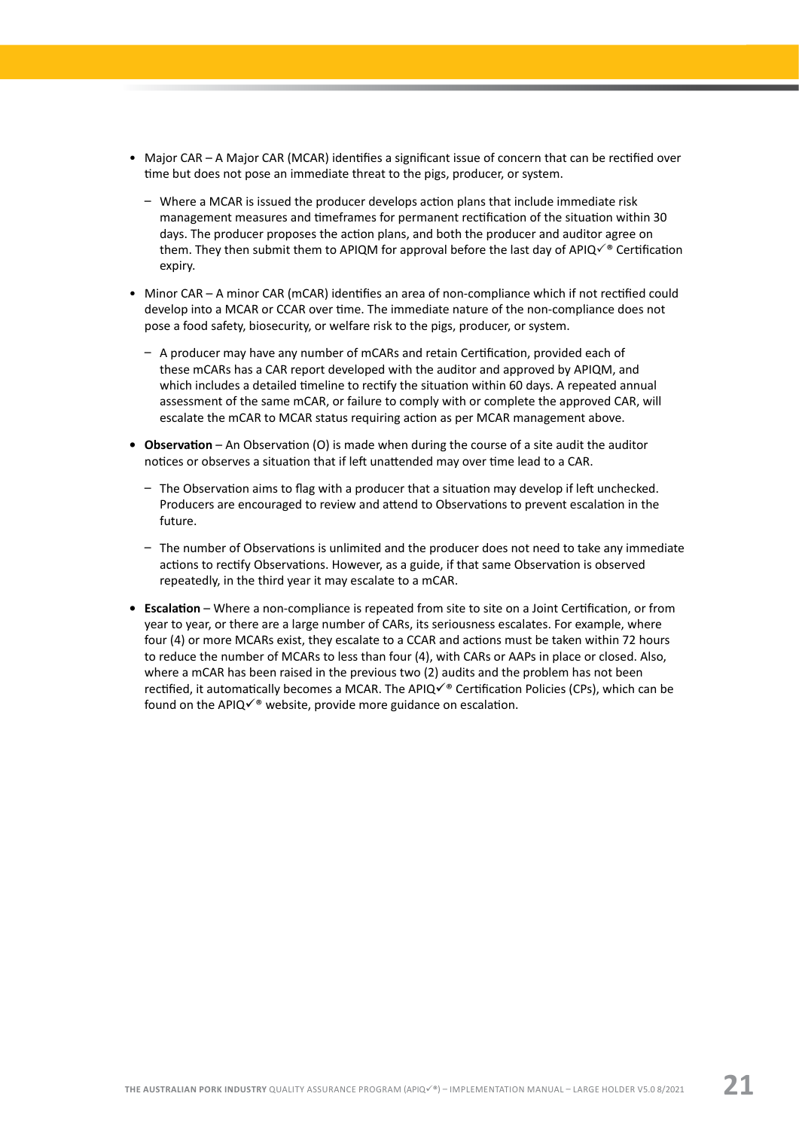- Major CAR A Major CAR (MCAR) identifies a significant issue of concern that can be rectified over time but does not pose an immediate threat to the pigs, producer, or system.
	- Where a MCAR is issued the producer develops action plans that include immediate risk management measures and timeframes for permanent rectification of the situation within 30 days. The producer proposes the action plans, and both the producer and auditor agree on them. They then submit them to APIQM for approval before the last day of APIQ $\checkmark$ ® Certification expiry.
- Minor CAR A minor CAR (mCAR) identifies an area of non-compliance which if not rectified could develop into a MCAR or CCAR over time. The immediate nature of the non-compliance does not pose a food safety, biosecurity, or welfare risk to the pigs, producer, or system.
	- $-$  A producer may have any number of mCARs and retain Certification, provided each of these mCARs has a CAR report developed with the auditor and approved by APIQM, and which includes a detailed timeline to rectify the situation within 60 days. A repeated annual assessment of the same mCAR, or failure to comply with or complete the approved CAR, will escalate the mCAR to MCAR status requiring action as per MCAR management above.
- **Observation** An Observation (O) is made when during the course of a site audit the auditor notices or observes a situation that if left unattended may over time lead to a CAR.
	- The Observation aims to flag with a producer that a situation may develop if left unchecked. Producers are encouraged to review and attend to Observations to prevent escalation in the future.
	- The number of Observations is unlimited and the producer does not need to take any immediate actions to rectify Observations. However, as a guide, if that same Observation is observed repeatedly, in the third year it may escalate to a mCAR.
- **• Escalation**  Where a non-compliance is repeated from site to site on a Joint Certification, or from year to year, or there are a large number of CARs, its seriousness escalates. For example, where four (4) or more MCARs exist, they escalate to a CCAR and actions must be taken within 72 hours to reduce the number of MCARs to less than four (4), with CARs or AAPs in place or closed. Also, where a mCAR has been raised in the previous two (2) audits and the problem has not been rectified, it automatically becomes a MCAR. The APIQ $\checkmark$ <sup>®</sup> Certification Policies (CPs), which can be found on the APIQ $\checkmark$ <sup>®</sup> website, provide more guidance on escalation.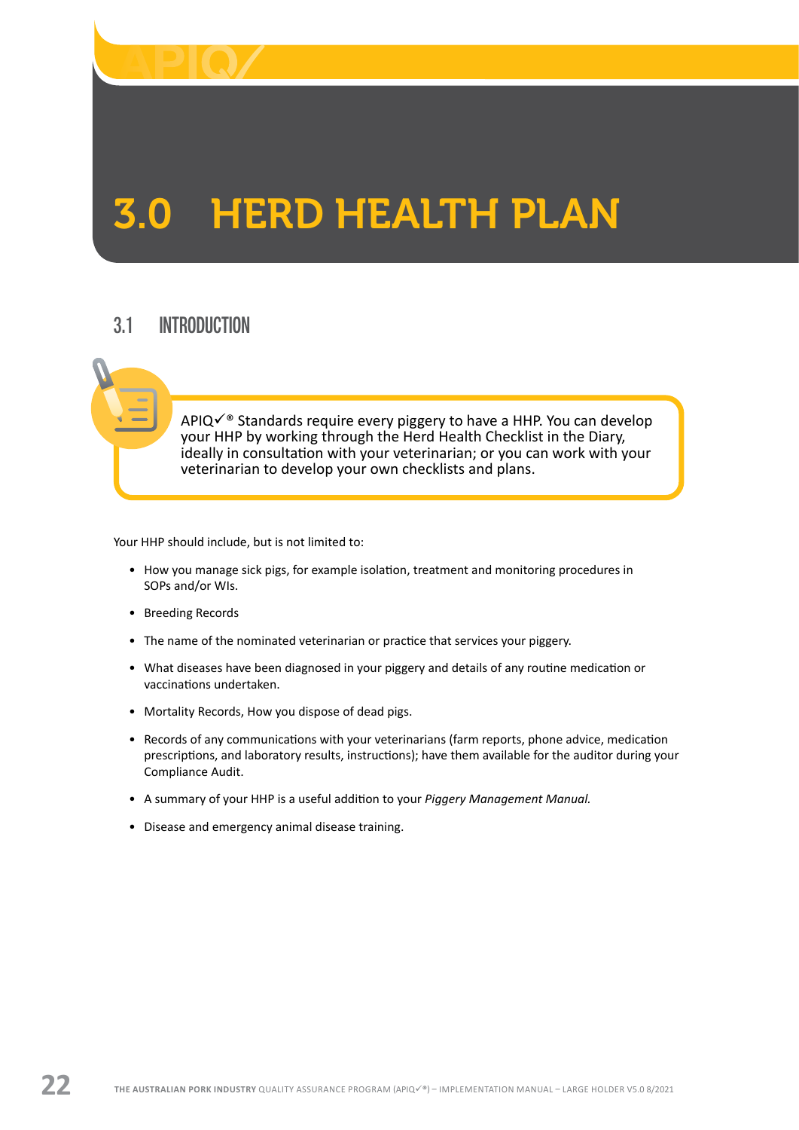<span id="page-23-0"></span>

# 3.0 HERD HEALTH PLAN

# 3.1 INTRODUCTION

 $APIQV^\circ$  Standards require every piggery to have a HHP. You can develop your HHP by working through the Herd Health Checklist in the Diary, ideally in consultation with your veterinarian; or you can work with your veterinarian to develop your own checklists and plans.

Your HHP should include, but is not limited to:

- How you manage sick pigs, for example isolation, treatment and monitoring procedures in SOPs and/or WIs.
- Breeding Records
- The name of the nominated veterinarian or practice that services your piggery.
- What diseases have been diagnosed in your piggery and details of any routine medication or vaccinations undertaken.
- Mortality Records, How you dispose of dead pigs.
- Records of any communications with your veterinarians (farm reports, phone advice, medication prescriptions, and laboratory results, instructions); have them available for the auditor during your Compliance Audit.
- A summary of your HHP is a useful addition to your *Piggery Management Manual.*
- Disease and emergency animal disease training.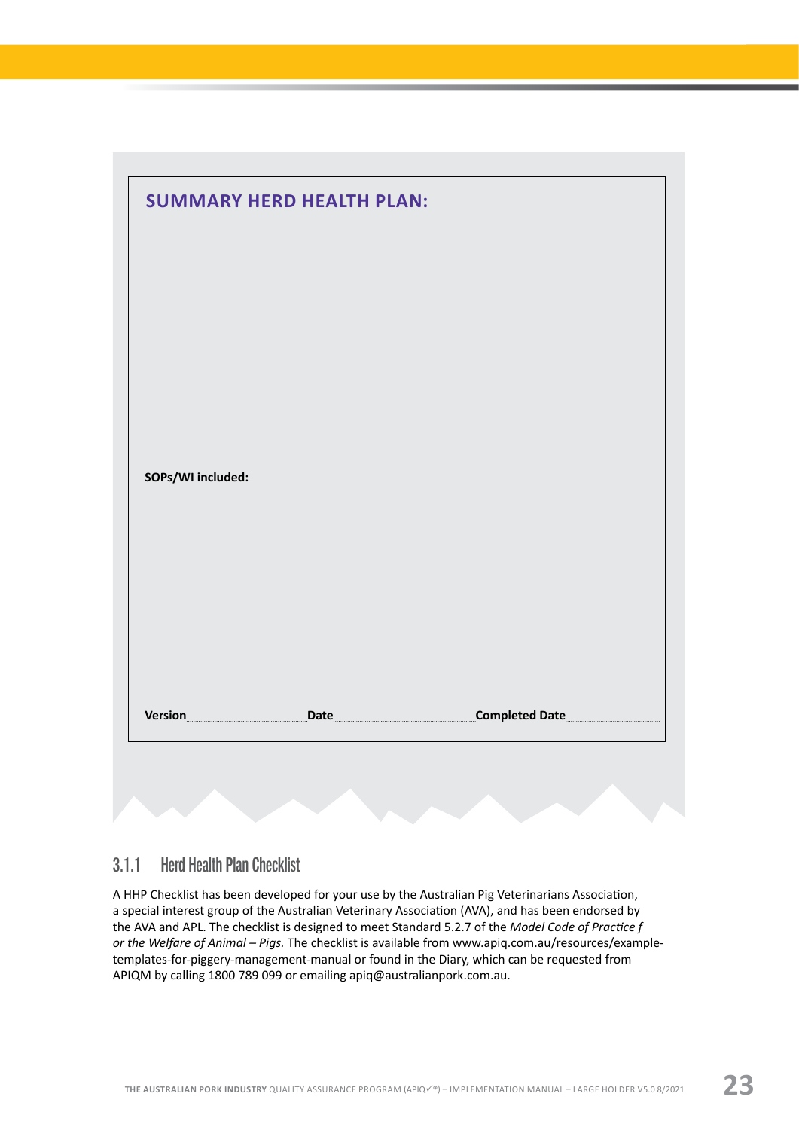<span id="page-24-0"></span>

|                   | <b>SUMMARY HERD HEALTH PLAN:</b> |  |
|-------------------|----------------------------------|--|
|                   |                                  |  |
|                   |                                  |  |
|                   |                                  |  |
|                   |                                  |  |
|                   |                                  |  |
| SOPs/WI included: |                                  |  |
|                   |                                  |  |
|                   |                                  |  |
|                   |                                  |  |
|                   |                                  |  |

#### 3.1.1 Herd Health Plan Checklist

A HHP Checklist has been developed for your use by the Australian Pig Veterinarians Association, a special interest group of the Australian Veterinary Association (AVA), and has been endorsed by the AVA and APL. The checklist is designed to meet Standard 5.2.7 of the *Model Code of Practice f or the Welfare of Animal – Pigs.* The checklist is available from [www.apiq.com.au/resources/example](https://www.apiq.com.au/resources/example-templates-for-piggery-management-manual/)[templates-for-piggery-management-manual](https://www.apiq.com.au/resources/example-templates-for-piggery-management-manual/) or found in the Diary, which can be requested from APIQM by calling 1800 789 099 or emailing [apiq@australianpork.com.au](mailto:apiq@australianpork.com.au).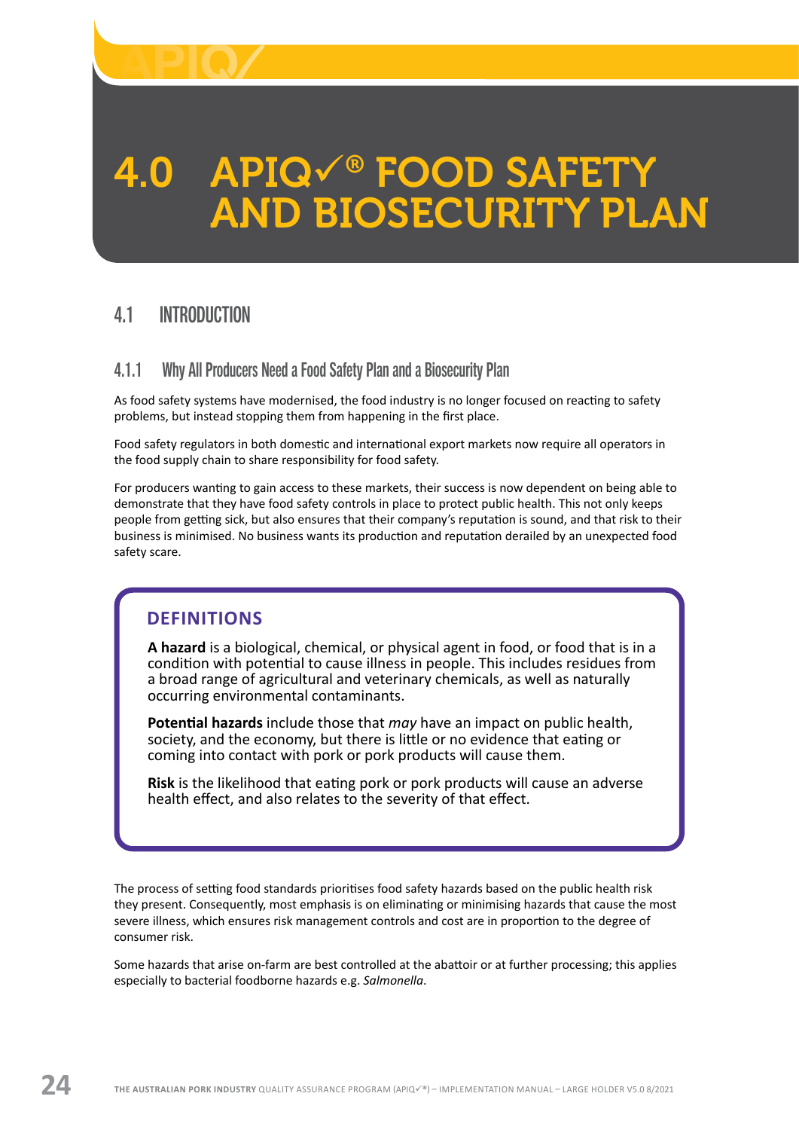<span id="page-25-0"></span>

# 4.0 APIQV® FOOD SAFETY<br>AND BIOSECURITY PLAN

# 4.1 INTRODUCTION

#### 4.1.1 Why All Producers Need a Food Safety Plan and a Biosecurity Plan

As food safety systems have modernised, the food industry is no longer focused on reacting to safety problems, but instead stopping them from happening in the first place.

Food safety regulators in both domestic and international export markets now require all operators in the food supply chain to share responsibility for food safety.

For producers wanting to gain access to these markets, their success is now dependent on being able to demonstrate that they have food safety controls in place to protect public health. This not only keeps people from getting sick, but also ensures that their company's reputation is sound, and that risk to their business is minimised. No business wants its production and reputation derailed by an unexpected food safety scare.

## **DEFINITIONS**

**A hazard** is a biological, chemical, or physical agent in food, or food that is in a condition with potential to cause illness in people. This includes residues from a broad range of agricultural and veterinary chemicals, as well as naturally occurring environmental contaminants.

**Potential hazards** include those that *may* have an impact on public health, society, and the economy, but there is little or no evidence that eating or coming into contact with pork or pork products will cause them.

**Risk** is the likelihood that eating pork or pork products will cause an adverse health effect, and also relates to the severity of that effect.

The process of setting food standards prioritises food safety hazards based on the public health risk they present. Consequently, most emphasis is on eliminating or minimising hazards that cause the most severe illness, which ensures risk management controls and cost are in proportion to the degree of consumer risk.

Some hazards that arise on-farm are best controlled at the abattoir or at further processing; this applies especially to bacterial foodborne hazards e.g. *Salmonella*.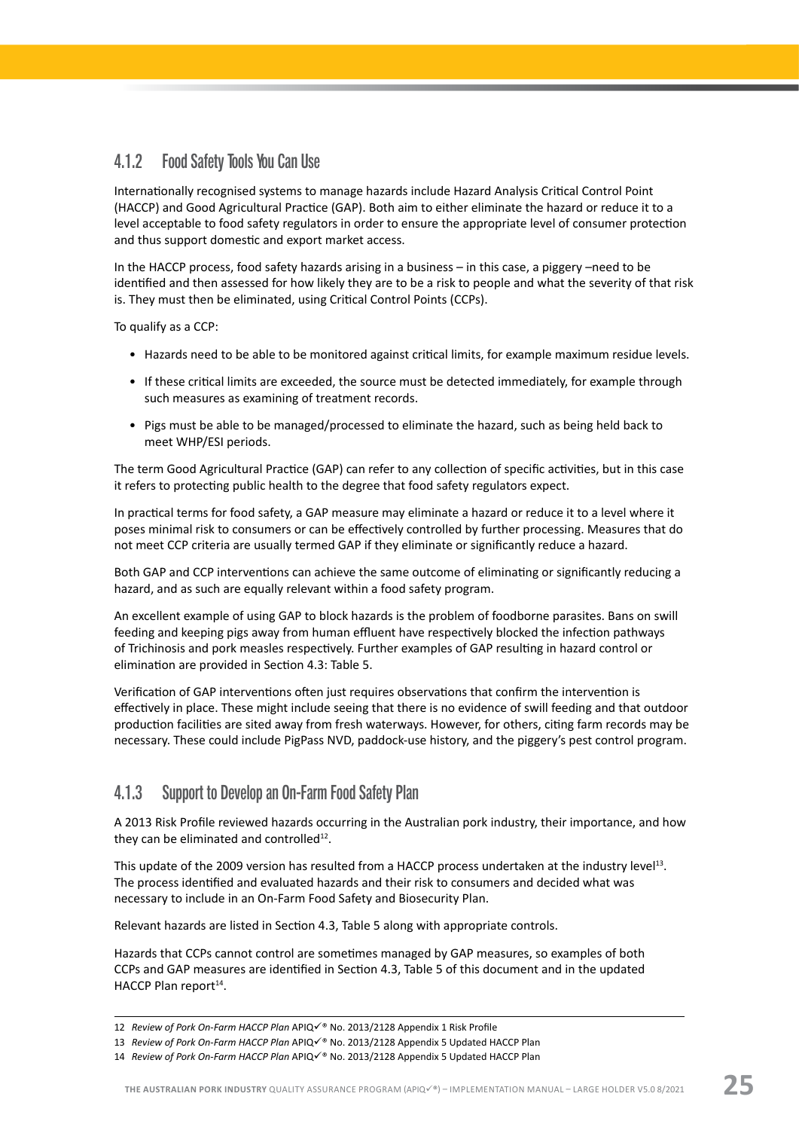#### <span id="page-26-0"></span>4.1.2 Food Safety Tools You Can Use

Internationally recognised systems to manage hazards include Hazard Analysis Critical Control Point (HACCP) and Good Agricultural Practice (GAP). Both aim to either eliminate the hazard or reduce it to a level acceptable to food safety regulators in order to ensure the appropriate level of consumer protection and thus support domestic and export market access.

In the HACCP process, food safety hazards arising in a business – in this case, a piggery –need to be identified and then assessed for how likely they are to be a risk to people and what the severity of that risk is. They must then be eliminated, using Critical Control Points (CCPs).

To qualify as a CCP:

- Hazards need to be able to be monitored against critical limits, for example maximum residue levels.
- If these critical limits are exceeded, the source must be detected immediately, for example through such measures as examining of treatment records.
- Pigs must be able to be managed/processed to eliminate the hazard, such as being held back to meet WHP/ESI periods.

The term Good Agricultural Practice (GAP) can refer to any collection of specific activities, but in this case it refers to protecting public health to the degree that food safety regulators expect.

In practical terms for food safety, a GAP measure may eliminate a hazard or reduce it to a level where it poses minimal risk to consumers or can be effectively controlled by further processing. Measures that do not meet CCP criteria are usually termed GAP if they eliminate or significantly reduce a hazard.

Both GAP and CCP interventions can achieve the same outcome of eliminating or significantly reducing a hazard, and as such are equally relevant within a food safety program.

An excellent example of using GAP to block hazards is the problem of foodborne parasites. Bans on swill feeding and keeping pigs away from human effluent have respectively blocked the infection pathways of Trichinosis and pork measles respectively. Further examples of GAP resulting in hazard control or elimination are provided in Section 4.3: Table 5.

Verification of GAP interventions often just requires observations that confirm the intervention is effectively in place. These might include seeing that there is no evidence of swill feeding and that outdoor production facilities are sited away from fresh waterways. However, for others, citing farm records may be necessary. These could include PigPass NVD, paddock-use history, and the piggery's pest control program.

#### 4.1.3 Support to Develop an On-Farm Food Safety Plan

A 2013 Risk Profile reviewed hazards occurring in the Australian pork industry, their importance, and how they can be eliminated and controlled $12$ .

This update of the 2009 version has resulted from a HACCP process undertaken at the industry level<sup>13</sup>. The process identified and evaluated hazards and their risk to consumers and decided what was necessary to include in an On-Farm Food Safety and Biosecurity Plan.

Relevant hazards are listed in Section 4.3, Table 5 along with appropriate controls.

Hazards that CCPs cannot control are sometimes managed by GAP measures, so examples of both CCPs and GAP measures are identified in Section 4.3, Table 5 of this document and in the updated HACCP Plan report $14$ .

<sup>12</sup> Review of Pork On-Farm HACCP Plan APIQ<sup>u®</sup> No. 2013/2128 Appendix 1 Risk Profile

<sup>13</sup> Review of Pork On-Farm HACCP Plan APIQ<sup> $\checkmark$ ® No. 2013/2128 Appendix 5 Updated HACCP Plan</sup>

<sup>14</sup> *Review of Pork On-Farm HACCP Plan* APIQü® No. 2013/2128 Appendix 5 Updated HACCP Plan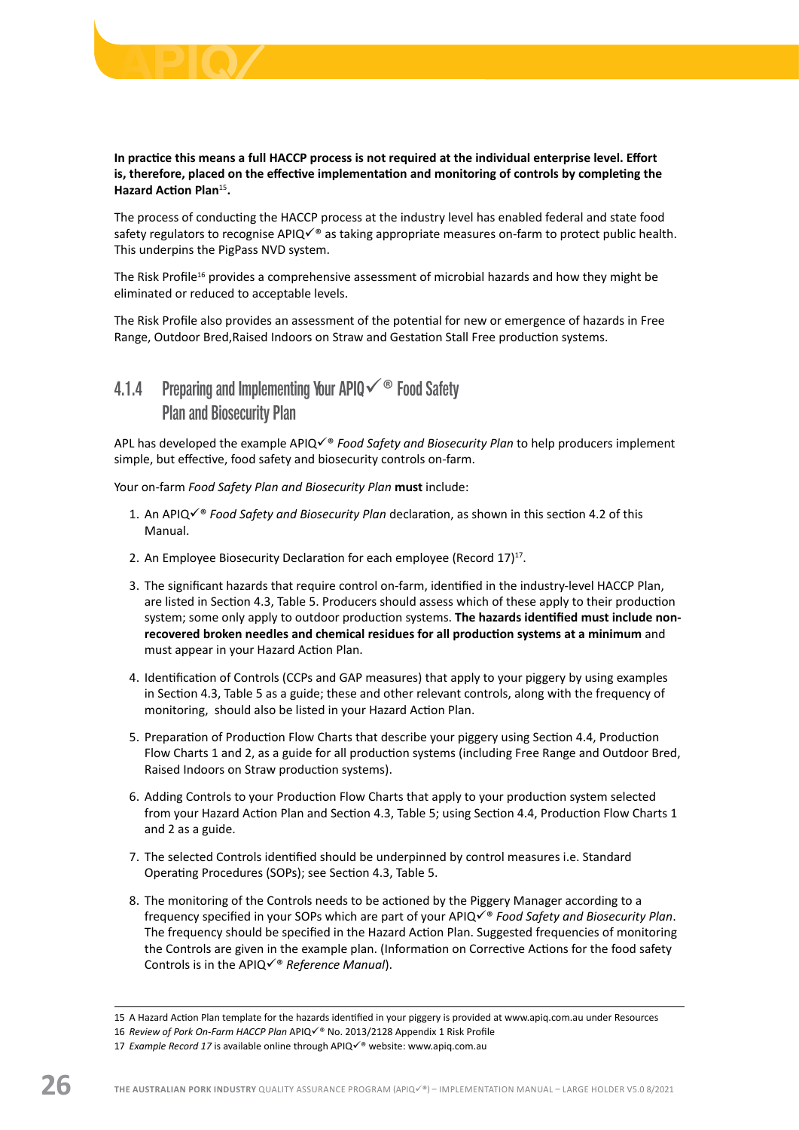<span id="page-27-0"></span>

#### **In practice this means a full HACCP process is not required at the individual enterprise level. Effort is, therefore, placed on the effective implementation and monitoring of controls by completing the Hazard Action Plan**<sup>15</sup>**.**

The process of conducting the HACCP process at the industry level has enabled federal and state food safety regulators to recognise APIQ $\checkmark$ <sup>®</sup> as taking appropriate measures on-farm to protect public health. This underpins the PigPass NVD system.

The Risk Profile<sup>16</sup> provides a comprehensive assessment of microbial hazards and how they might be eliminated or reduced to acceptable levels.

The Risk Profile also provides an assessment of the potential for new or emergence of hazards in Free Range, Outdoor Bred,Raised Indoors on Straw and Gestation Stall Free production systems.

# 4.1.4 Preparing and Implementing Your APIQ $\check{\phantom{\phi}}$  Food Safety Plan and Biosecurity Plan

APL has developed the example APIQ<sup> $\checkmark$ ® *Food Safety and Biosecurity Plan* to help producers implement</sup> simple, but effective, food safety and biosecurity controls on-farm.

Your on-farm *Food Safety Plan and Biosecurity Plan* **must** include:

- 1. An APIQ $\checkmark$ <sup>®</sup> *Food Safety and Biosecurity Plan* declaration, as shown in this section 4.2 of this Manual.
- 2. An Employee Biosecurity Declaration for each employee (Record  $17)^{17}$ .
- 3. The significant hazards that require control on-farm, identified in the industry-level HACCP Plan, are listed in Section 4.3, Table 5. Producers should assess which of these apply to their production system; some only apply to outdoor production systems. **The hazards identified must include nonrecovered broken needles and chemical residues for all production systems at a minimum** and must appear in your Hazard Action Plan.
- 4. Identification of Controls (CCPs and GAP measures) that apply to your piggery by using examples in Section 4.3, Table 5 as a guide; these and other relevant controls, along with the frequency of monitoring, should also be listed in your Hazard Action Plan.
- 5. Preparation of Production Flow Charts that describe your piggery using Section 4.4, Production Flow Charts 1 and 2, as a guide for all production systems (including Free Range and Outdoor Bred, Raised Indoors on Straw production systems).
- 6. Adding Controls to your Production Flow Charts that apply to your production system selected from your Hazard Action Plan and Section 4.3, Table 5; using Section 4.4, Production Flow Charts 1 and 2 as a guide.
- 7. The selected Controls identified should be underpinned by control measures i.e. Standard Operating Procedures (SOPs); see Section 4.3, Table 5.
- 8. The monitoring of the Controls needs to be actioned by the Piggery Manager according to a frequency specified in your SOPs which are part of your APIQ $\checkmark\,$  Food Safety and Biosecurity Plan. The frequency should be specified in the Hazard Action Plan. Suggested frequencies of monitoring the Controls are given in the example plan. (Information on Corrective Actions for the food safety Controls is in the APIQ√<sup>®</sup> Reference Manual).

<sup>15</sup> A Hazard Action Plan template for the hazards identified in your piggery is provided at [www.apiq.com.au](http://www.apiq.com.au) under Resources

<sup>16</sup> Review of Pork On-Farm HACCP Plan APIQ $\checkmark$ <sup>®</sup> No. 2013/2128 Appendix 1 Risk Profile

<sup>17</sup> *Example Record 17* is available online through APIQ $\checkmark$ <sup>®</sup> website: [www.apiq.com.au](http://www.apiq.com.au)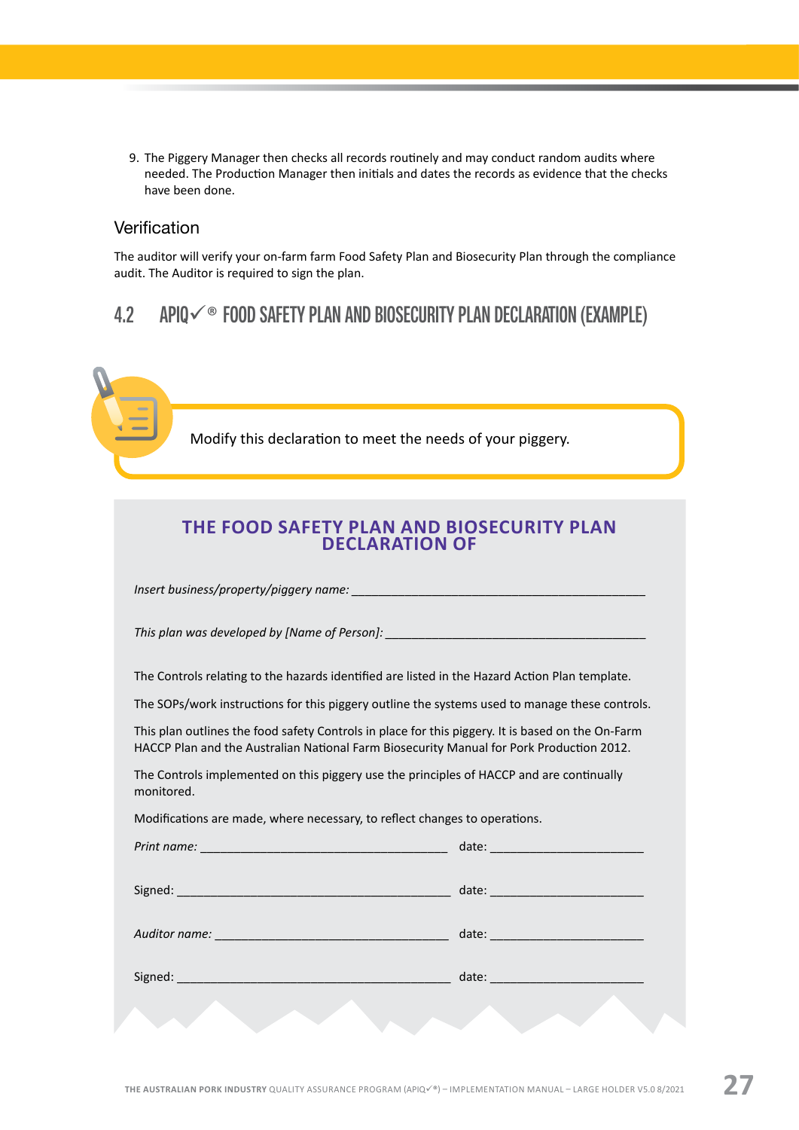<span id="page-28-0"></span>9. The Piggery Manager then checks all records routinely and may conduct random audits where needed. The Production Manager then initials and dates the records as evidence that the checks have been done.

#### **Verification**

The auditor will verify your on-farm farm Food Safety Plan and Biosecurity Plan through the compliance audit. The Auditor is required to sign the plan.

# 4.2 APIQ $\checkmark$ ® FOOD SAFETY PLAN AND BIOSECURITY PLAN DECLARATION (EXAMPLE)

Modify this declaration to meet the needs of your piggery.

| THE FOOD SAFETY PLAN AND BIOSECURITY PLAN<br><b>DECLARATION OF</b>                                                                                                                            |  |  |  |  |  |
|-----------------------------------------------------------------------------------------------------------------------------------------------------------------------------------------------|--|--|--|--|--|
|                                                                                                                                                                                               |  |  |  |  |  |
|                                                                                                                                                                                               |  |  |  |  |  |
| The Controls relating to the hazards identified are listed in the Hazard Action Plan template.                                                                                                |  |  |  |  |  |
| The SOPs/work instructions for this piggery outline the systems used to manage these controls.                                                                                                |  |  |  |  |  |
| This plan outlines the food safety Controls in place for this piggery. It is based on the On-Farm<br>HACCP Plan and the Australian National Farm Biosecurity Manual for Pork Production 2012. |  |  |  |  |  |
| The Controls implemented on this piggery use the principles of HACCP and are continually<br>monitored.                                                                                        |  |  |  |  |  |
| Modifications are made, where necessary, to reflect changes to operations.                                                                                                                    |  |  |  |  |  |
|                                                                                                                                                                                               |  |  |  |  |  |
|                                                                                                                                                                                               |  |  |  |  |  |
|                                                                                                                                                                                               |  |  |  |  |  |
|                                                                                                                                                                                               |  |  |  |  |  |
|                                                                                                                                                                                               |  |  |  |  |  |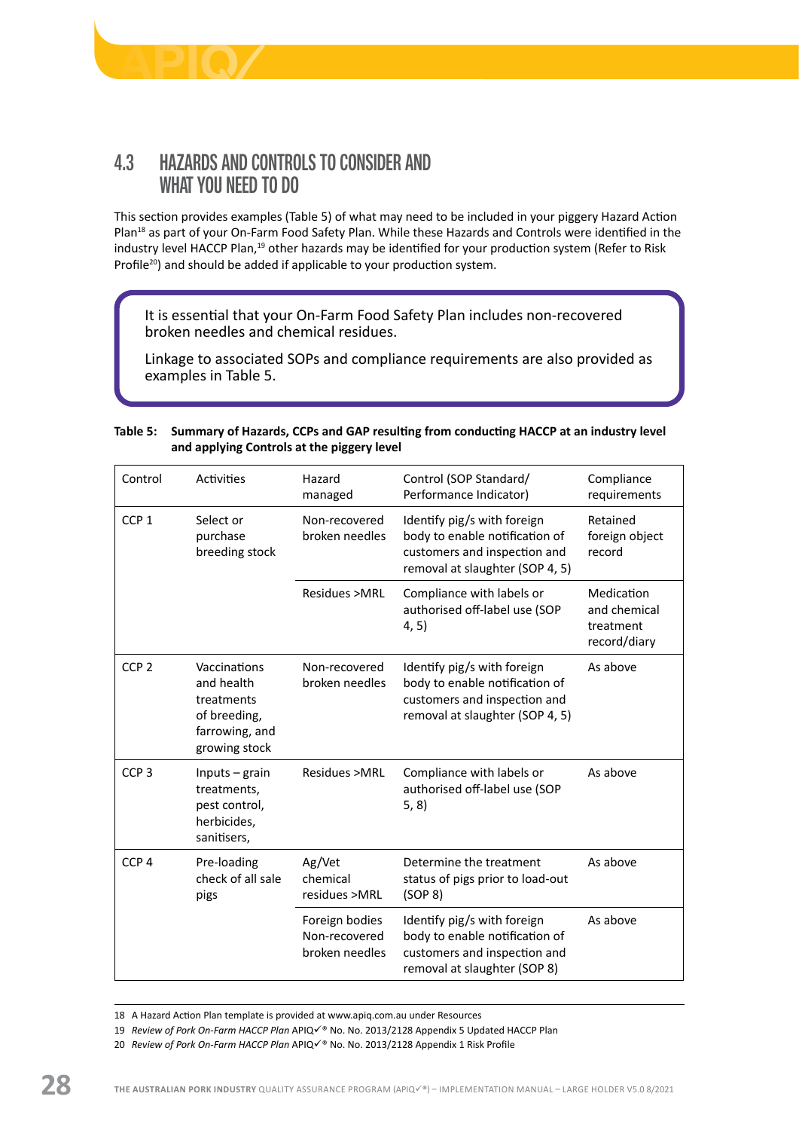<span id="page-29-0"></span>

# 4.3 HAZARDS AND CONTROLS TO CONSIDER AND WHAT YOU NEED TO DO

This section provides examples (Table 5) of what may need to be included in your piggery Hazard Action Plan<sup>18</sup> as part of your On-Farm Food Safety Plan. While these Hazards and Controls were identified in the industry level HACCP Plan,<sup>19</sup> other hazards may be identified for your production system (Refer to Risk Profile<sup>20</sup>) and should be added if applicable to your production system.

It is essential that your On-Farm Food Safety Plan includes non-recovered broken needles and chemical residues.

Linkage to associated SOPs and compliance requirements are also provided as examples in Table 5.

#### **Table 5: Summary of Hazards, CCPs and GAP resulting from conducting HACCP at an industry level and applying Controls at the piggery level**

| Control          | Activities                                                                                  | Hazard<br>managed                                 | Control (SOP Standard/<br>Performance Indicator)                                                                                 | Compliance<br>requirements                              |
|------------------|---------------------------------------------------------------------------------------------|---------------------------------------------------|----------------------------------------------------------------------------------------------------------------------------------|---------------------------------------------------------|
| CCP <sub>1</sub> | Select or<br>purchase<br>breeding stock                                                     | Non-recovered<br>broken needles                   | Identify pig/s with foreign<br>body to enable notification of<br>customers and inspection and<br>removal at slaughter (SOP 4, 5) | Retained<br>foreign object<br>record                    |
|                  |                                                                                             | Residues >MRL                                     | Compliance with labels or<br>authorised off-label use (SOP<br>4, 5)                                                              | Medication<br>and chemical<br>treatment<br>record/diary |
| CCP <sub>2</sub> | Vaccinations<br>and health<br>treatments<br>of breeding,<br>farrowing, and<br>growing stock | Non-recovered<br>broken needles                   | Identify pig/s with foreign<br>body to enable notification of<br>customers and inspection and<br>removal at slaughter (SOP 4, 5) | As above                                                |
| CCP <sub>3</sub> | Inputs $-$ grain<br>treatments,<br>pest control,<br>herbicides,<br>sanitisers,              | Residues >MRL                                     | Compliance with labels or<br>authorised off-label use (SOP<br>5, 8)                                                              | As above                                                |
| CCP <sub>4</sub> | Pre-loading<br>check of all sale<br>pigs                                                    | Ag/Vet<br>chemical<br>residues >MRL               | Determine the treatment<br>status of pigs prior to load-out<br>(SOP 8)                                                           | As above                                                |
|                  |                                                                                             | Foreign bodies<br>Non-recovered<br>broken needles | Identify pig/s with foreign<br>body to enable notification of<br>customers and inspection and<br>removal at slaughter (SOP 8)    | As above                                                |

18 A Hazard Action Plan template is provided at [www.apiq.com.au](http://www.apiq.com.au) under Resources

- 19 Review of Pork On-Farm HACCP Plan APIQè No. No. 2013/2128 Appendix 5 Updated HACCP Plan
- 20 Review of Pork On-Farm HACCP Plan APIQè No. No. 2013/2128 Appendix 1 Risk Profile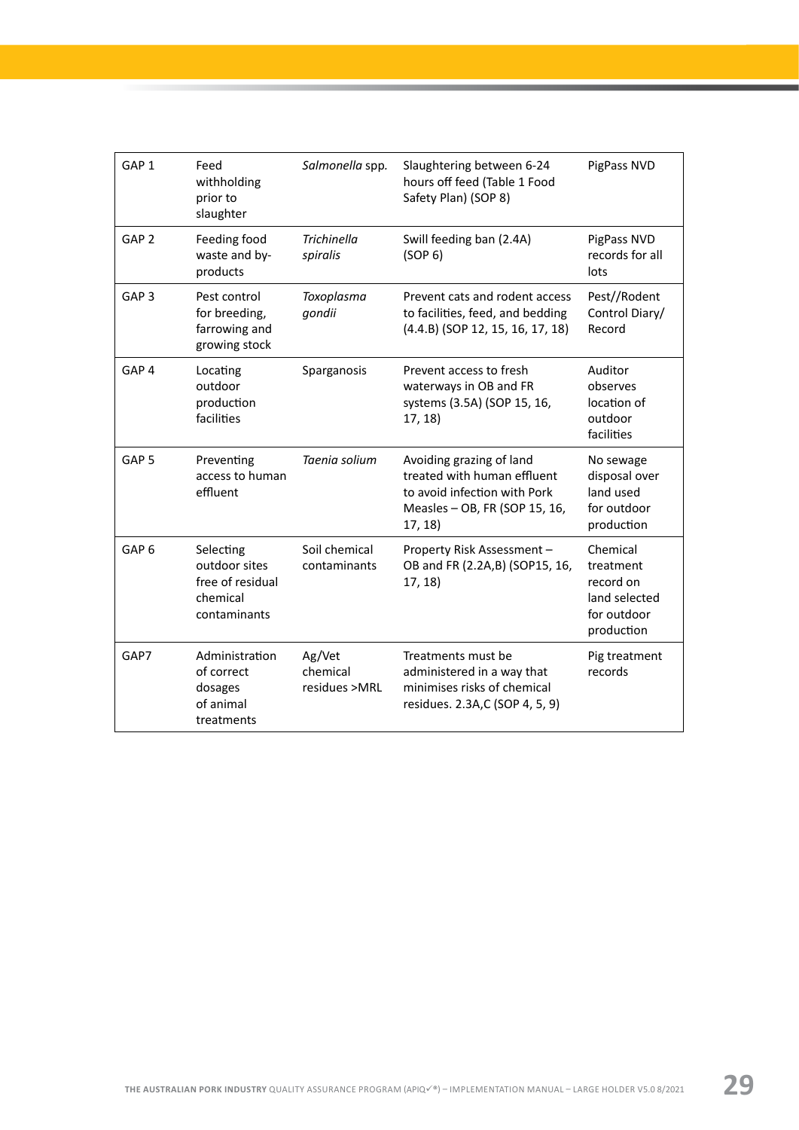| GAP <sub>1</sub> | Feed<br>withholding<br>prior to<br>slaughter                               | Salmonella spp.                     | Slaughtering between 6-24<br>hours off feed (Table 1 Food<br>Safety Plan) (SOP 8)                                                   | PigPass NVD                                                                      |
|------------------|----------------------------------------------------------------------------|-------------------------------------|-------------------------------------------------------------------------------------------------------------------------------------|----------------------------------------------------------------------------------|
| GAP <sub>2</sub> | Feeding food<br>waste and by-<br>products                                  | <b>Trichinella</b><br>spiralis      | Swill feeding ban (2.4A)<br>(SOP 6)                                                                                                 | PigPass NVD<br>records for all<br>lots                                           |
| GAP <sub>3</sub> | Pest control<br>for breeding,<br>farrowing and<br>growing stock            | Toxoplasma<br>gondii                | Prevent cats and rodent access<br>to facilities, feed, and bedding<br>(4.4.B) (SOP 12, 15, 16, 17, 18)                              | Pest//Rodent<br>Control Diary/<br>Record                                         |
| GAP <sub>4</sub> | Locating<br>outdoor<br>production<br>facilities                            | Sparganosis                         | Prevent access to fresh<br>waterways in OB and FR<br>systems (3.5A) (SOP 15, 16,<br>17, 18)                                         | Auditor<br>observes<br>location of<br>outdoor<br>facilities                      |
| GAP <sub>5</sub> | Preventing<br>access to human<br>effluent                                  | Taenia solium                       | Avoiding grazing of land<br>treated with human effluent<br>to avoid infection with Pork<br>Measles - OB, FR (SOP 15, 16,<br>17, 18) | No sewage<br>disposal over<br>land used<br>for outdoor<br>production             |
| GAP <sub>6</sub> | Selecting<br>outdoor sites<br>free of residual<br>chemical<br>contaminants | Soil chemical<br>contaminants       | Property Risk Assessment -<br>OB and FR (2.2A,B) (SOP15, 16,<br>17, 18)                                                             | Chemical<br>treatment<br>record on<br>land selected<br>for outdoor<br>production |
| GAP7             | Administration<br>of correct<br>dosages<br>of animal<br>treatments         | Ag/Vet<br>chemical<br>residues >MRL | Treatments must be<br>administered in a way that<br>minimises risks of chemical<br>residues. 2.3A,C (SOP 4, 5, 9)                   | Pig treatment<br>records                                                         |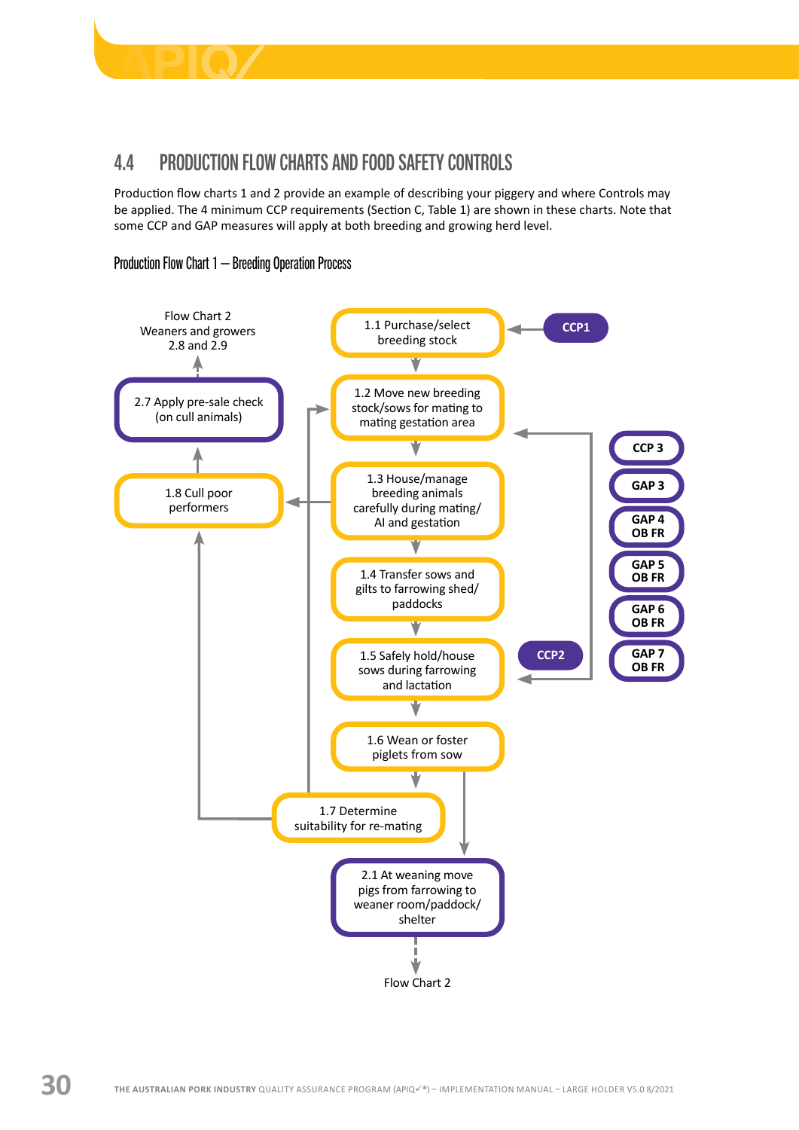<span id="page-31-0"></span>

# 4.4 PRODUCTION FLOW CHARTS AND FOOD SAFETY CONTROLS

Production flow charts 1 and 2 provide an example of describing your piggery and where Controls may be applied. The 4 minimum CCP requirements (Section C, Table 1) are shown in these charts. Note that some CCP and GAP measures will apply at both breeding and growing herd level.

#### Production Flow Chart 1 – Breeding Operation Process

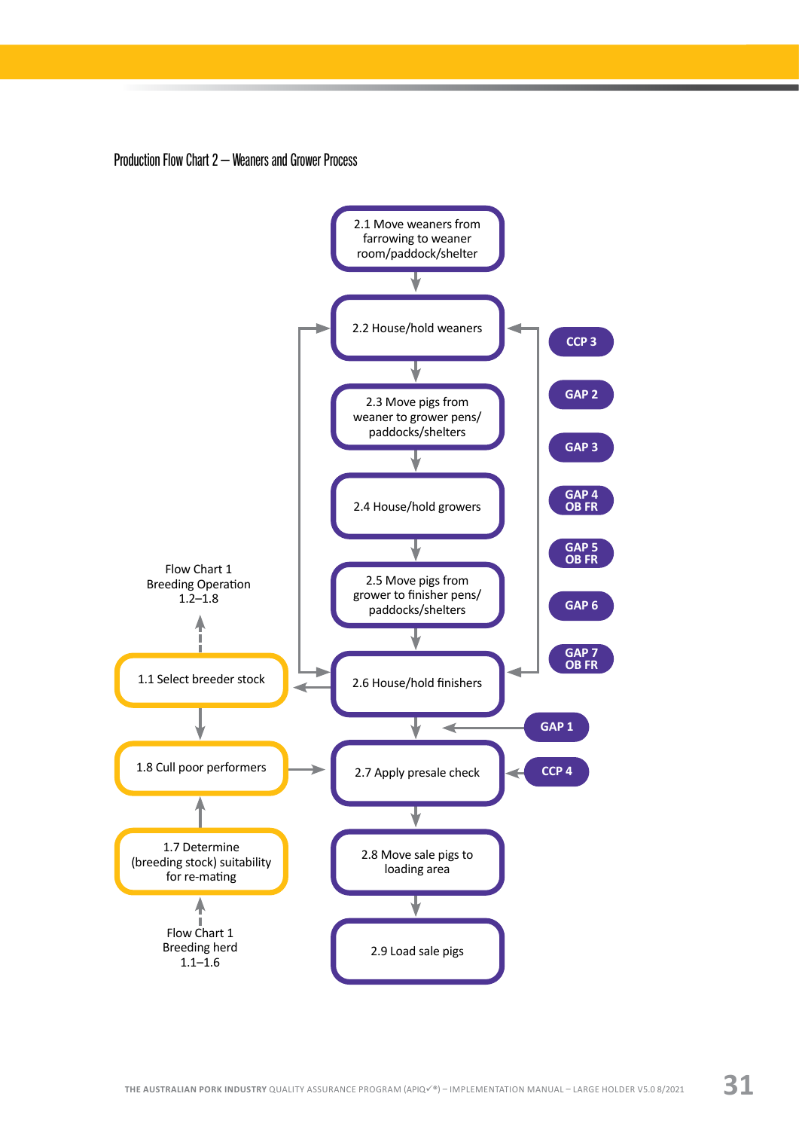#### Production Flow Chart 2 – Weaners and Grower Process

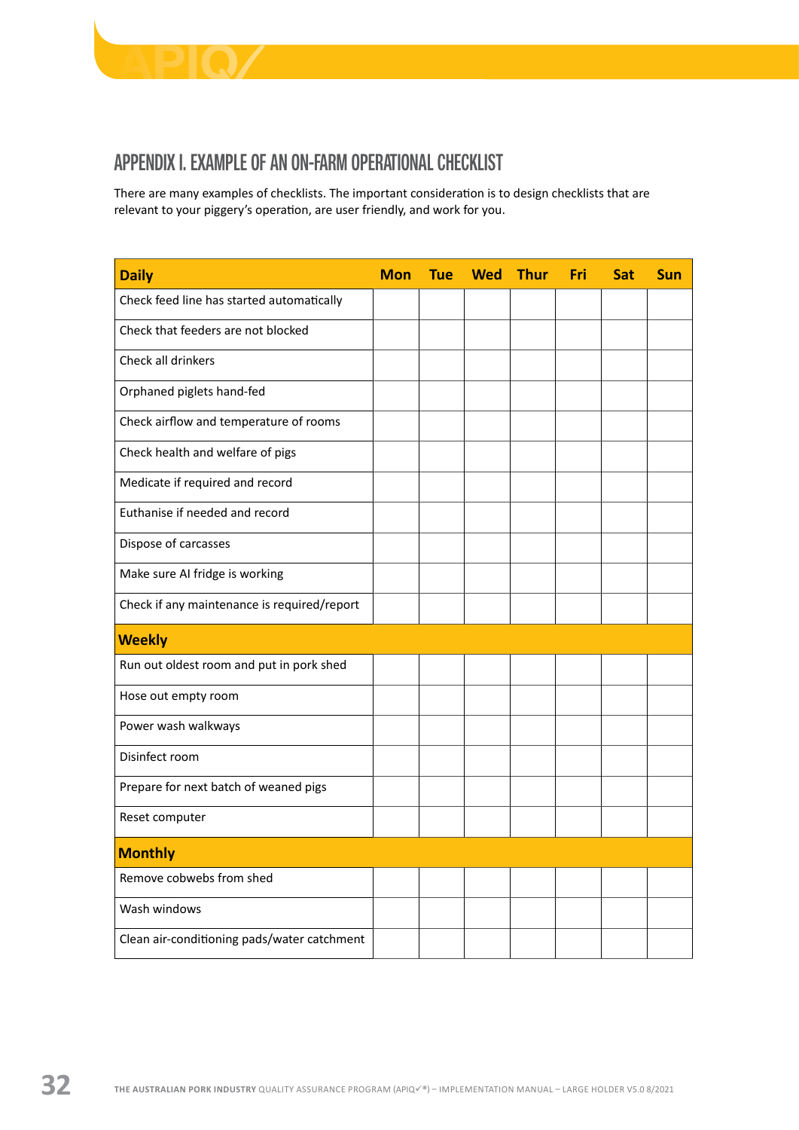<span id="page-33-0"></span>

# APPENDIX I. EXAMPLE OF AN ON-FARM OPERATIONAL CHECKLIST

There are many examples of checklists. The important consideration is to design checklists that are relevant to your piggery's operation, are user friendly, and work for you.

| <b>Daily</b>                                | <b>Mon</b> | <b>Tue</b> | Wed Thur | Fri | <b>Sat</b> | <b>Sun</b> |
|---------------------------------------------|------------|------------|----------|-----|------------|------------|
| Check feed line has started automatically   |            |            |          |     |            |            |
| Check that feeders are not blocked          |            |            |          |     |            |            |
| Check all drinkers                          |            |            |          |     |            |            |
| Orphaned piglets hand-fed                   |            |            |          |     |            |            |
| Check airflow and temperature of rooms      |            |            |          |     |            |            |
| Check health and welfare of pigs            |            |            |          |     |            |            |
| Medicate if required and record             |            |            |          |     |            |            |
| Euthanise if needed and record              |            |            |          |     |            |            |
| Dispose of carcasses                        |            |            |          |     |            |            |
| Make sure AI fridge is working              |            |            |          |     |            |            |
| Check if any maintenance is required/report |            |            |          |     |            |            |
| <b>Weekly</b>                               |            |            |          |     |            |            |
| Run out oldest room and put in pork shed    |            |            |          |     |            |            |
| Hose out empty room                         |            |            |          |     |            |            |
| Power wash walkways                         |            |            |          |     |            |            |
| Disinfect room                              |            |            |          |     |            |            |
| Prepare for next batch of weaned pigs       |            |            |          |     |            |            |
| Reset computer                              |            |            |          |     |            |            |
| <b>Monthly</b>                              |            |            |          |     |            |            |
| Remove cobwebs from shed                    |            |            |          |     |            |            |
| Wash windows                                |            |            |          |     |            |            |
| Clean air-conditioning pads/water catchment |            |            |          |     |            |            |